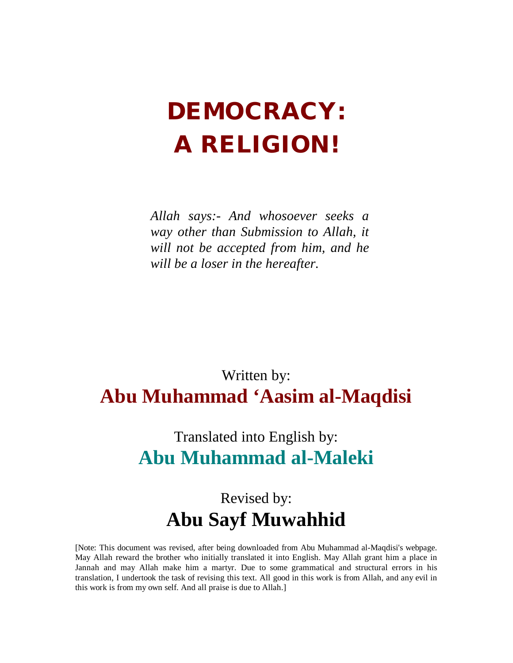# **DEMOCRACY: A RELIGION!**

*Allah says:- And whosoever seeks a way other than Submission to Allah, it will not be accepted from him, and he will be a loser in the hereafter.* 

# Written by: **Abu Muhammad 'Aasim al-Maqdisi**

# Translated into English by: **Abu Muhammad al-Maleki**

# Revised by: **Abu Sayf Muwahhid**

[Note: This document was revised, after being downloaded from Abu Muhammad al-Maqdisi's webpage. May Allah reward the brother who initially translated it into English. May Allah grant him a place in Jannah and may Allah make him a martyr. Due to some grammatical and structural errors in his translation, I undertook the task of revising this text. All good in this work is from Allah, and any evil in this work is from my own self. And all praise is due to Allah.]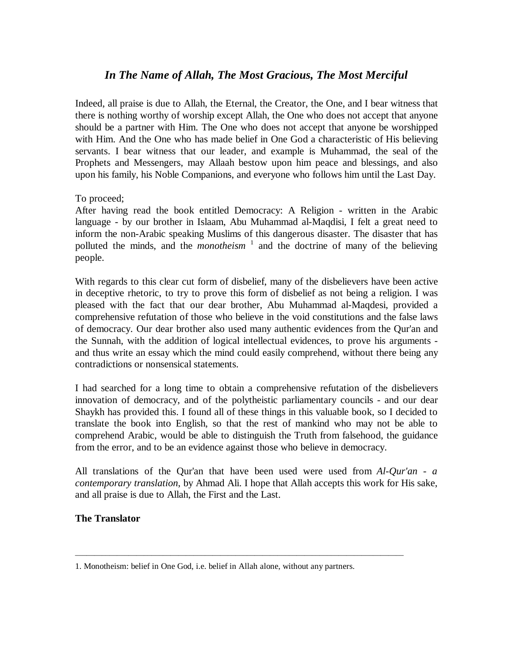# *In The Name of Allah, The Most Gracious, The Most Merciful*

Indeed, all praise is due to Allah, the Eternal, the Creator, the One, and I bear witness that there is nothing worthy of worship except Allah, the One who does not accept that anyone should be a partner with Him. The One who does not accept that anyone be worshipped with Him. And the One who has made belief in One God a characteristic of His believing servants. I bear witness that our leader, and example is Muhammad, the seal of the Prophets and Messengers, may Allaah bestow upon him peace and blessings, and also upon his family, his Noble Companions, and everyone who follows him until the Last Day.

To proceed;

After having read the book entitled Democracy: A Religion - written in the Arabic language - by our brother in Islaam, Abu Muhammad al-Maqdisi, I felt a great need to inform the non-Arabic speaking Muslims of this dangerous disaster. The disaster that has polluted the minds, and the *monotheism* 1 and the doctrine of many of the believing people.

With regards to this clear cut form of disbelief, many of the disbelievers have been active in deceptive rhetoric, to try to prove this form of disbelief as not being a religion. I was pleased with the fact that our dear brother, Abu Muhammad al-Maqdesi, provided a comprehensive refutation of those who believe in the void constitutions and the false laws of democracy. Our dear brother also used many authentic evidences from the Qur'an and the Sunnah, with the addition of logical intellectual evidences, to prove his arguments and thus write an essay which the mind could easily comprehend, without there being any contradictions or nonsensical statements.

I had searched for a long time to obtain a comprehensive refutation of the disbelievers innovation of democracy, and of the polytheistic parliamentary councils - and our dear Shaykh has provided this. I found all of these things in this valuable book, so I decided to translate the book into English, so that the rest of mankind who may not be able to comprehend Arabic, would be able to distinguish the Truth from falsehood, the guidance from the error, and to be an evidence against those who believe in democracy.

All translations of the Qur'an that have been used were used from *Al-Qur'an - a contemporary translation*, by Ahmad Ali. I hope that Allah accepts this work for His sake, and all praise is due to Allah, the First and the Last.

#### **The Translator**

\_\_\_\_\_\_\_\_\_\_\_\_\_\_\_\_\_\_\_\_\_\_\_\_\_\_\_\_\_\_\_\_\_\_\_\_\_\_\_\_\_\_\_\_\_\_\_\_\_\_\_\_\_\_\_\_\_\_\_\_\_\_\_\_\_\_\_\_\_\_\_\_\_\_\_\_\_\_\_\_\_\_\_\_\_\_

<sup>1.</sup> Monotheism: belief in One God, i.e. belief in Allah alone, without any partners.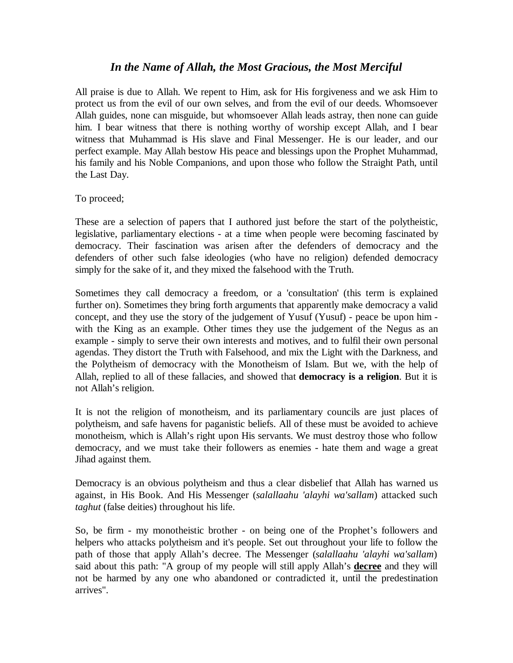# *In the Name of Allah, the Most Gracious, the Most Merciful*

All praise is due to Allah. We repent to Him, ask for His forgiveness and we ask Him to protect us from the evil of our own selves, and from the evil of our deeds. Whomsoever Allah guides, none can misguide, but whomsoever Allah leads astray, then none can guide him. I bear witness that there is nothing worthy of worship except Allah, and I bear witness that Muhammad is His slave and Final Messenger. He is our leader, and our perfect example. May Allah bestow His peace and blessings upon the Prophet Muhammad, his family and his Noble Companions, and upon those who follow the Straight Path, until the Last Day.

To proceed;

These are a selection of papers that I authored just before the start of the polytheistic, legislative, parliamentary elections - at a time when people were becoming fascinated by democracy. Their fascination was arisen after the defenders of democracy and the defenders of other such false ideologies (who have no religion) defended democracy simply for the sake of it, and they mixed the falsehood with the Truth.

Sometimes they call democracy a freedom, or a 'consultation' (this term is explained further on). Sometimes they bring forth arguments that apparently make democracy a valid concept, and they use the story of the judgement of Yusuf (Yusuf) - peace be upon him with the King as an example. Other times they use the judgement of the Negus as an example - simply to serve their own interests and motives, and to fulfil their own personal agendas. They distort the Truth with Falsehood, and mix the Light with the Darkness, and the Polytheism of democracy with the Monotheism of Islam. But we, with the help of Allah, replied to all of these fallacies, and showed that **democracy is a religion**. But it is not Allah's religion.

It is not the religion of monotheism, and its parliamentary councils are just places of polytheism, and safe havens for paganistic beliefs. All of these must be avoided to achieve monotheism, which is Allah's right upon His servants. We must destroy those who follow democracy, and we must take their followers as enemies - hate them and wage a great Jihad against them.

Democracy is an obvious polytheism and thus a clear disbelief that Allah has warned us against, in His Book. And His Messenger (*salallaahu 'alayhi wa'sallam*) attacked such *taghut* (false deities) throughout his life.

So, be firm - my monotheistic brother - on being one of the Prophet's followers and helpers who attacks polytheism and it's people. Set out throughout your life to follow the path of those that apply Allah's decree. The Messenger (*salallaahu 'alayhi wa'sallam*) said about this path: "A group of my people will still apply Allah's **decree** and they will not be harmed by any one who abandoned or contradicted it, until the predestination arrives".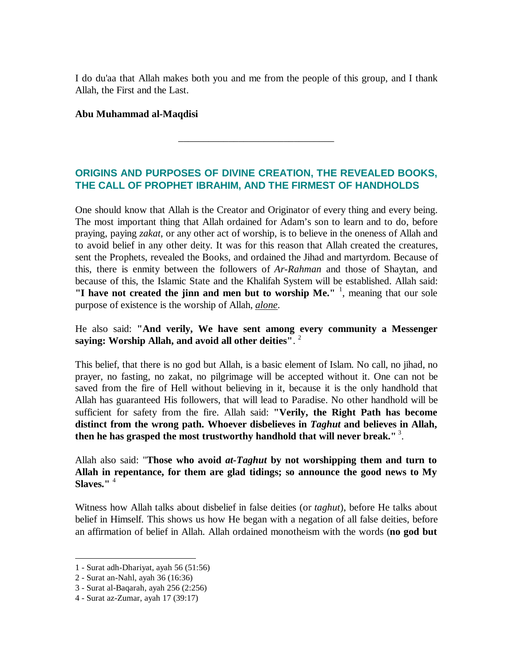I do du'aa that Allah makes both you and me from the people of this group, and I thank Allah, the First and the Last.

#### **Abu Muhammad al-Maqdisi**

# **ORIGINS AND PURPOSES OF DIVINE CREATION, THE REVEALED BOOKS, THE CALL OF PROPHET IBRAHIM, AND THE FIRMEST OF HANDHOLDS**

\_\_\_\_\_\_\_\_\_\_\_\_\_\_\_\_\_\_\_\_\_\_\_\_\_\_\_\_\_\_\_

One should know that Allah is the Creator and Originator of every thing and every being. The most important thing that Allah ordained for Adam's son to learn and to do, before praying, paying *zakat*, or any other act of worship, is to believe in the oneness of Allah and to avoid belief in any other deity. It was for this reason that Allah created the creatures, sent the Prophets, revealed the Books, and ordained the Jihad and martyrdom. Because of this, there is enmity between the followers of *Ar-Rahman* and those of Shaytan, and because of this, the Islamic State and the Khalifah System will be established. Allah said: **"I have not created the jinn and men but to worship Me."** <sup>1</sup> , meaning that our sole purpose of existence is the worship of Allah, *alone*.

### He also said: **"And verily, We have sent among every community a Messenger saying: Worship Allah, and avoid all other deities"**. 2

This belief, that there is no god but Allah, is a basic element of Islam. No call, no jihad, no prayer, no fasting, no zakat, no pilgrimage will be accepted without it. One can not be saved from the fire of Hell without believing in it, because it is the only handhold that Allah has guaranteed His followers, that will lead to Paradise. No other handhold will be sufficient for safety from the fire. Allah said: **"Verily, the Right Path has become distinct from the wrong path. Whoever disbelieves in** *Taghut* **and believes in Allah, then he has grasped the most trustworthy handhold that will never break."**<sup>3</sup> .

Allah also said: "**Those who avoid** *at-Taghut* **by not worshipping them and turn to Allah in repentance, for them are glad tidings; so announce the good news to My Slaves."** <sup>4</sup> 

Witness how Allah talks about disbelief in false deities (or *taghut*), before He talks about belief in Himself. This shows us how He began with a negation of all false deities, before an affirmation of belief in Allah. Allah ordained monotheism with the words (**no god but** 

<sup>1</sup> - Surat adh-Dhariyat, ayah 56 (51:56)

<sup>2</sup> - Surat an-Nahl, ayah 36 (16:36)

<sup>3</sup> - Surat al-Baqarah, ayah 256 (2:256)

<sup>4</sup> - Surat az-Zumar, ayah 17 (39:17)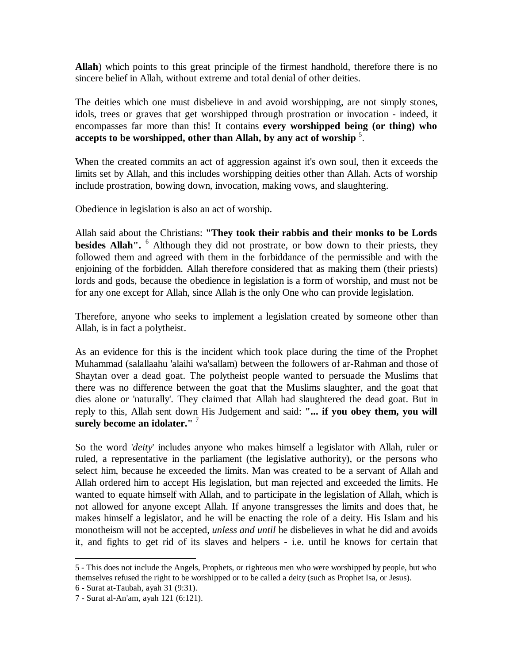**Allah**) which points to this great principle of the firmest handhold, therefore there is no sincere belief in Allah, without extreme and total denial of other deities.

The deities which one must disbelieve in and avoid worshipping, are not simply stones, idols, trees or graves that get worshipped through prostration or invocation - indeed, it encompasses far more than this! It contains **every worshipped being (or thing) who accepts to be worshipped, other than Allah, by any act of worship** <sup>5</sup> .

When the created commits an act of aggression against it's own soul, then it exceeds the limits set by Allah, and this includes worshipping deities other than Allah. Acts of worship include prostration, bowing down, invocation, making vows, and slaughtering.

Obedience in legislation is also an act of worship.

Allah said about the Christians: **"They took their rabbis and their monks to be Lords besides Allah".**  <sup>6</sup> Although they did not prostrate, or bow down to their priests, they followed them and agreed with them in the forbiddance of the permissible and with the enjoining of the forbidden. Allah therefore considered that as making them (their priests) lords and gods, because the obedience in legislation is a form of worship, and must not be for any one except for Allah, since Allah is the only One who can provide legislation.

Therefore, anyone who seeks to implement a legislation created by someone other than Allah, is in fact a polytheist.

As an evidence for this is the incident which took place during the time of the Prophet Muhammad (salallaahu 'alaihi wa'sallam) between the followers of ar-Rahman and those of Shaytan over a dead goat. The polytheist people wanted to persuade the Muslims that there was no difference between the goat that the Muslims slaughter, and the goat that dies alone or 'naturally'. They claimed that Allah had slaughtered the dead goat. But in reply to this, Allah sent down His Judgement and said: **"... if you obey them, you will surely become an idolater."** <sup>7</sup> 

So the word '*deity*' includes anyone who makes himself a legislator with Allah, ruler or ruled, a representative in the parliament (the legislative authority), or the persons who select him, because he exceeded the limits. Man was created to be a servant of Allah and Allah ordered him to accept His legislation, but man rejected and exceeded the limits. He wanted to equate himself with Allah, and to participate in the legislation of Allah, which is not allowed for anyone except Allah. If anyone transgresses the limits and does that, he makes himself a legislator, and he will be enacting the role of a deity. His Islam and his monotheism will not be accepted, *unless and until* he disbelieves in what he did and avoids it, and fights to get rid of its slaves and helpers - i.e. until he knows for certain that

<sup>5</sup> - This does not include the Angels, Prophets, or righteous men who were worshipped by people, but who themselves refused the right to be worshipped or to be called a deity (such as Prophet Isa, or Jesus).

<sup>6</sup> - Surat at-Taubah, ayah 31 (9:31).

<sup>7</sup> - Surat al-An'am, ayah 121 (6:121).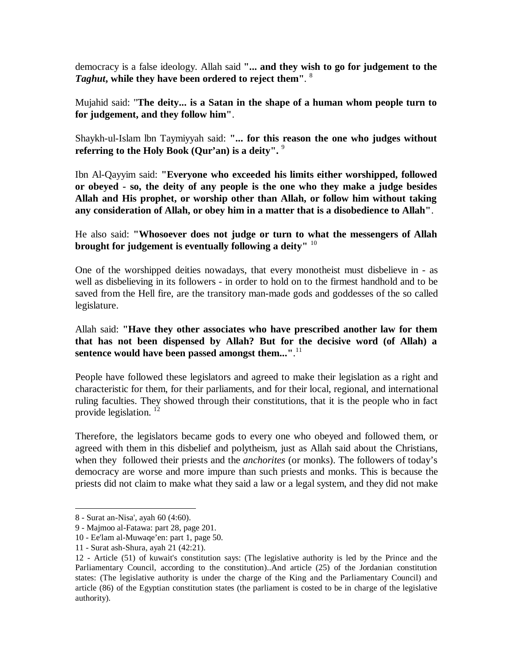democracy is a false ideology. Allah said **"... and they wish to go for judgement to the**  *Taghut***, while they have been ordered to reject them"**. 8

Mujahid said: "**The deity... is a Satan in the shape of a human whom people turn to for judgement, and they follow him"**.

Shaykh-ul-Islam lbn Taymiyyah said: **"... for this reason the one who judges without referring to the Holy Book (Qur'an) is a deity".**  9

Ibn Al-Qayyim said: **"Everyone who exceeded his limits either worshipped, followed or obeyed - so, the deity of any people is the one who they make a judge besides Allah and His prophet, or worship other than Allah, or follow him without taking any consideration of Allah, or obey him in a matter that is a disobedience to Allah"**.

He also said: **"Whosoever does not judge or turn to what the messengers of Allah brought for judgement is eventually following a deity"** <sup>10</sup>

One of the worshipped deities nowadays, that every monotheist must disbelieve in - as well as disbelieving in its followers - in order to hold on to the firmest handhold and to be saved from the Hell fire, are the transitory man-made gods and goddesses of the so called legislature.

Allah said: **"Have they other associates who have prescribed another law for them that has not been dispensed by Allah? But for the decisive word (of Allah) a sentence would have been passed amongst them..."**. 11

People have followed these legislators and agreed to make their legislation as a right and characteristic for them, for their parliaments, and for their local, regional, and international ruling faculties. They showed through their constitutions, that it is the people who in fact provide legislation.<sup>12</sup>

Therefore, the legislators became gods to every one who obeyed and followed them, or agreed with them in this disbelief and polytheism, just as Allah said about the Christians, when they followed their priests and the *anchorites* (or monks). The followers of today's democracy are worse and more impure than such priests and monks. This is because the priests did not claim to make what they said a law or a legal system, and they did not make

<sup>8</sup> - Surat an-Nisa', ayah 60 (4:60).

<sup>9</sup> - Majmoo al-Fatawa: part 28, page 201.

<sup>10</sup> - Ee'lam al-Muwaqe'en: part 1, page 50.

<sup>11</sup> - Surat ash-Shura, ayah 21 (42:21).

<sup>12</sup> - Article (51) of kuwait's constitution says: (The legislative authority is led by the Prince and the Parliamentary Council, according to the constitution)..And article (25) of the Jordanian constitution states: (The legislative authority is under the charge of the King and the Parliamentary Council) and article (86) of the Egyptian constitution states (the parliament is costed to be in charge of the legislative authority).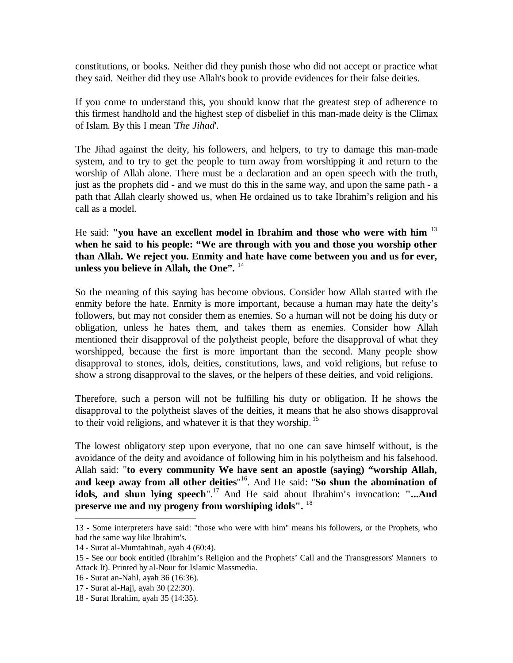constitutions, or books. Neither did they punish those who did not accept or practice what they said. Neither did they use Allah's book to provide evidences for their false deities.

If you come to understand this, you should know that the greatest step of adherence to this firmest handhold and the highest step of disbelief in this man-made deity is the Climax of Islam. By this I mean '*The Jihad*'.

The Jihad against the deity, his followers, and helpers, to try to damage this man-made system, and to try to get the people to turn away from worshipping it and return to the worship of Allah alone. There must be a declaration and an open speech with the truth, just as the prophets did - and we must do this in the same way, and upon the same path - a path that Allah clearly showed us, when He ordained us to take Ibrahim's religion and his call as a model.

He said: **"you have an excellent model in Ibrahim and those who were with him** <sup>13</sup> **when he said to his people: "We are through with you and those you worship other than Allah. We reject you. Enmity and hate have come between you and us for ever, unless you believe in Allah, the One".** <sup>14</sup>

So the meaning of this saying has become obvious. Consider how Allah started with the enmity before the hate. Enmity is more important, because a human may hate the deity's followers, but may not consider them as enemies. So a human will not be doing his duty or obligation, unless he hates them, and takes them as enemies. Consider how Allah mentioned their disapproval of the polytheist people, before the disapproval of what they worshipped, because the first is more important than the second. Many people show disapproval to stones, idols, deities, constitutions, laws, and void religions, but refuse to show a strong disapproval to the slaves, or the helpers of these deities, and void religions.

Therefore, such a person will not be fulfilling his duty or obligation. If he shows the disapproval to the polytheist slaves of the deities, it means that he also shows disapproval to their void religions, and whatever it is that they worship.<sup>15</sup>

The lowest obligatory step upon everyone, that no one can save himself without, is the avoidance of the deity and avoidance of following him in his polytheism and his falsehood. Allah said: "**to every community We have sent an apostle (saying) "worship Allah, and keep away from all other deities**" 16 . And He said: "**So shun the abomination of idols, and shun lying speech**".<sup>17</sup> And He said about Ibrahim's invocation: "...And **preserve me and my progeny from worshiping idols".** <sup>18</sup>

<sup>13</sup> - Some interpreters have said: "those who were with him" means his followers, or the Prophets, who had the same way like Ibrahim's.

<sup>14</sup> - Surat al-Mumtahinah, ayah 4 (60:4).

<sup>15</sup> - See our book entitled (Ibrahim's Religion and the Prophets' Call and the Transgressors' Manners to Attack It). Printed by al-Nour for Islamic Massmedia.

<sup>16</sup> - Surat an-Nahl, ayah 36 (16:36).

<sup>17</sup> - Surat al-Hajj, ayah 30 (22:30).

<sup>18</sup> - Surat Ibrahim, ayah 35 (14:35).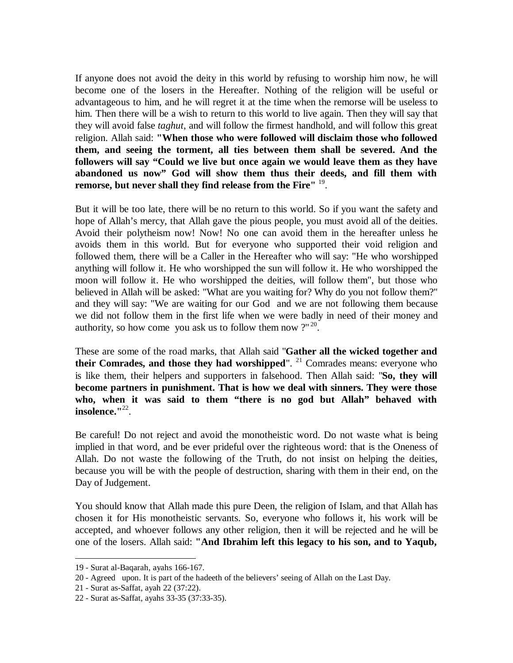If anyone does not avoid the deity in this world by refusing to worship him now, he will become one of the losers in the Hereafter. Nothing of the religion will be useful or advantageous to him, and he will regret it at the time when the remorse will be useless to him. Then there will be a wish to return to this world to live again. Then they will say that they will avoid false *taghut*, and will follow the firmest handhold, and will follow this great religion. Allah said: **"When those who were followed will disclaim those who followed them, and seeing the torment, all ties between them shall be severed. And the followers will say "Could we live but once again we would leave them as they have abandoned us now" God will show them thus their deeds, and fill them with remorse, but never shall they find release from the Fire"** <sup>19</sup> .

But it will be too late, there will be no return to this world. So if you want the safety and hope of Allah's mercy, that Allah gave the pious people, you must avoid all of the deities. Avoid their polytheism now! Now! No one can avoid them in the hereafter unless he avoids them in this world. But for everyone who supported their void religion and followed them, there will be a Caller in the Hereafter who will say: "He who worshipped anything will follow it. He who worshipped the sun will follow it. He who worshipped the moon will follow it. He who worshipped the deities, will follow them", but those who believed in Allah will be asked: "What are you waiting for? Why do you not follow them?" and they will say: "We are waiting for our God and we are not following them because we did not follow them in the first life when we were badly in need of their money and authority, so how come you ask us to follow them now  $2^{n^2}$ .

These are some of the road marks, that Allah said "**Gather all the wicked together and their Comrades, and those they had worshipped**". <sup>21</sup> Comrades means: everyone who is like them, their helpers and supporters in falsehood. Then Allah said: "**So, they will become partners in punishment. That is how we deal with sinners. They were those who, when it was said to them "there is no god but Allah" behaved with insolence."**<sup>22</sup> .

Be careful! Do not reject and avoid the monotheistic word. Do not waste what is being implied in that word, and be ever prideful over the righteous word: that is the Oneness of Allah. Do not waste the following of the Truth, do not insist on helping the deities, because you will be with the people of destruction, sharing with them in their end, on the Day of Judgement.

You should know that Allah made this pure Deen, the religion of Islam, and that Allah has chosen it for His monotheistic servants. So, everyone who follows it, his work will be accepted, and whoever follows any other religion, then it will be rejected and he will be one of the losers. Allah said: **"And Ibrahim left this legacy to his son, and to Yaqub,** 

<sup>19</sup> - Surat al-Baqarah, ayahs 166-167.

<sup>20</sup> - Agreed upon. It is part of the hadeeth of the believers' seeing of Allah on the Last Day.

<sup>21</sup> - Surat as-Saffat, ayah 22 (37:22).

<sup>22</sup> - Surat as-Saffat, ayahs 33-35 (37:33-35).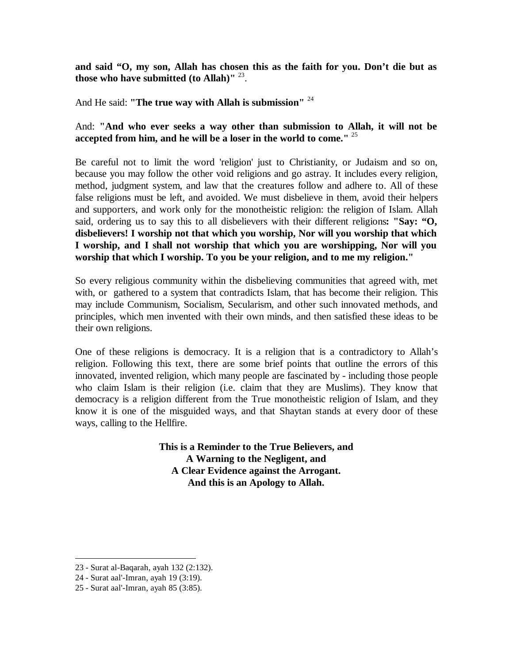**and said "O, my son, Allah has chosen this as the faith for you. Don't die but as those who have submitted (to Allah)"** <sup>23</sup> .

And He said: **"The true way with Allah is submission"** <sup>24</sup>

### And: **"And who ever seeks a way other than submission to Allah, it will not be accepted from him, and he will be a loser in the world to come."** <sup>25</sup>

Be careful not to limit the word 'religion' just to Christianity, or Judaism and so on, because you may follow the other void religions and go astray. It includes every religion, method, judgment system, and law that the creatures follow and adhere to. All of these false religions must be left, and avoided. We must disbelieve in them, avoid their helpers and supporters, and work only for the monotheistic religion: the religion of Islam. Allah said, ordering us to say this to all disbelievers with their different religions**: "Say: "O, disbelievers! I worship not that which you worship, Nor will you worship that which I worship, and I shall not worship that which you are worshipping, Nor will you worship that which I worship. To you be your religion, and to me my religion."** 

So every religious community within the disbelieving communities that agreed with, met with, or gathered to a system that contradicts Islam, that has become their religion. This may include Communism, Socialism, Secularism, and other such innovated methods, and principles, which men invented with their own minds, and then satisfied these ideas to be their own religions.

One of these religions is democracy. It is a religion that is a contradictory to Allah's religion. Following this text, there are some brief points that outline the errors of this innovated, invented religion, which many people are fascinated by - including those people who claim Islam is their religion (i.e. claim that they are Muslims). They know that democracy is a religion different from the True monotheistic religion of Islam, and they know it is one of the misguided ways, and that Shaytan stands at every door of these ways, calling to the Hellfire.

> **This is a Reminder to the True Believers, and A Warning to the Negligent, and A Clear Evidence against the Arrogant. And this is an Apology to Allah.**

<sup>23</sup> - Surat al-Baqarah, ayah 132 (2:132).

<sup>24</sup> - Surat aal'-Imran, ayah 19 (3:19).

<sup>25</sup> - Surat aal'-Imran, ayah 85 (3:85).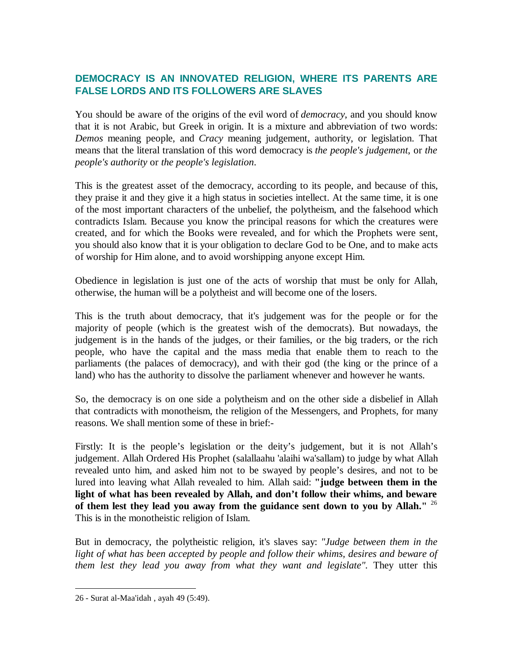# **DEMOCRACY IS AN INNOVATED RELIGION, WHERE ITS PARENTS ARE FALSE LORDS AND ITS FOLLOWERS ARE SLAVES**

You should be aware of the origins of the evil word of *democracy*, and you should know that it is not Arabic, but Greek in origin. It is a mixture and abbreviation of two words: *Demos* meaning people, and *Cracy* meaning judgement, authority, or legislation. That means that the literal translation of this word democracy is *the people's judgement*, or *the people's authority* or *the people's legislation*.

This is the greatest asset of the democracy, according to its people, and because of this, they praise it and they give it a high status in societies intellect. At the same time, it is one of the most important characters of the unbelief, the polytheism, and the falsehood which contradicts Islam. Because you know the principal reasons for which the creatures were created, and for which the Books were revealed, and for which the Prophets were sent, you should also know that it is your obligation to declare God to be One, and to make acts of worship for Him alone, and to avoid worshipping anyone except Him.

Obedience in legislation is just one of the acts of worship that must be only for Allah, otherwise, the human will be a polytheist and will become one of the losers.

This is the truth about democracy, that it's judgement was for the people or for the majority of people (which is the greatest wish of the democrats). But nowadays, the judgement is in the hands of the judges, or their families, or the big traders, or the rich people, who have the capital and the mass media that enable them to reach to the parliaments (the palaces of democracy), and with their god (the king or the prince of a land) who has the authority to dissolve the parliament whenever and however he wants.

So, the democracy is on one side a polytheism and on the other side a disbelief in Allah that contradicts with monotheism, the religion of the Messengers, and Prophets, for many reasons. We shall mention some of these in brief:-

Firstly: It is the people's legislation or the deity's judgement, but it is not Allah's judgement. Allah Ordered His Prophet (salallaahu 'alaihi wa'sallam) to judge by what Allah revealed unto him, and asked him not to be swayed by people's desires, and not to be lured into leaving what Allah revealed to him. Allah said: **"judge between them in the light of what has been revealed by Allah, and don't follow their whims, and beware of them lest they lead you away from the guidance sent down to you by Allah."** <sup>26</sup> This is in the monotheistic religion of Islam.

But in democracy, the polytheistic religion, it's slaves say: *"Judge between them in the light of what has been accepted by people and follow their whims, desires and beware of them lest they lead you away from what they want and legislate"*. They utter this

<sup>26</sup> - Surat al-Maa'idah , ayah 49 (5:49).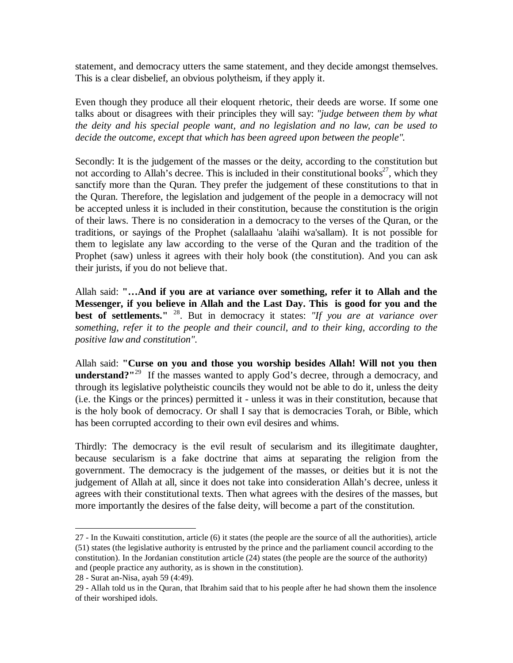statement, and democracy utters the same statement, and they decide amongst themselves. This is a clear disbelief, an obvious polytheism, if they apply it.

Even though they produce all their eloquent rhetoric, their deeds are worse. If some one talks about or disagrees with their principles they will say: *"judge between them by what the deity and his special people want, and no legislation and no law, can be used to decide the outcome, except that which has been agreed upon between the people"*.

Secondly: It is the judgement of the masses or the deity, according to the constitution but not according to Allah's decree. This is included in their constitutional books<sup>27</sup>, which they sanctify more than the Quran. They prefer the judgement of these constitutions to that in the Quran. Therefore, the legislation and judgement of the people in a democracy will not be accepted unless it is included in their constitution, because the constitution is the origin of their laws. There is no consideration in a democracy to the verses of the Quran, or the traditions, or sayings of the Prophet (salallaahu 'alaihi wa'sallam). It is not possible for them to legislate any law according to the verse of the Quran and the tradition of the Prophet (saw) unless it agrees with their holy book (the constitution). And you can ask their jurists, if you do not believe that.

Allah said: **"…And if you are at variance over something, refer it to Allah and the Messenger, if you believe in Allah and the Last Day. This is good for you and the best of settlements."** <sup>28</sup> . But in democracy it states: *"If you are at variance over something, refer it to the people and their council, and to their king, according to the positive law and constitution".*

Allah said: **"Curse on you and those you worship besides Allah! Will not you then understand?**"<sup>29</sup> If the masses wanted to apply God's decree, through a democracy, and through its legislative polytheistic councils they would not be able to do it, unless the deity (i.e. the Kings or the princes) permitted it - unless it was in their constitution, because that is the holy book of democracy. Or shall I say that is democracies Torah, or Bible, which has been corrupted according to their own evil desires and whims.

Thirdly: The democracy is the evil result of secularism and its illegitimate daughter, because secularism is a fake doctrine that aims at separating the religion from the government. The democracy is the judgement of the masses, or deities but it is not the judgement of Allah at all, since it does not take into consideration Allah's decree, unless it agrees with their constitutional texts. Then what agrees with the desires of the masses, but more importantly the desires of the false deity, will become a part of the constitution.

<sup>27</sup> - In the Kuwaiti constitution, article (6) it states (the people are the source of all the authorities), article (51) states (the legislative authority is entrusted by the prince and the parliament council according to the constitution). In the Jordanian constitution article (24) states (the people are the source of the authority) and (people practice any authority, as is shown in the constitution).

<sup>28</sup> - Surat an-Nisa, ayah 59 (4:49).

<sup>29</sup> - Allah told us in the Quran, that Ibrahim said that to his people after he had shown them the insolence of their worshiped idols.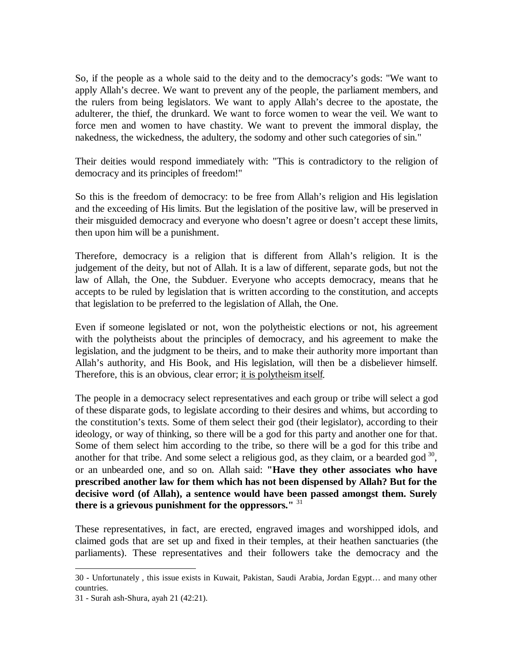So, if the people as a whole said to the deity and to the democracy's gods: "We want to apply Allah's decree. We want to prevent any of the people, the parliament members, and the rulers from being legislators. We want to apply Allah's decree to the apostate, the adulterer, the thief, the drunkard. We want to force women to wear the veil. We want to force men and women to have chastity. We want to prevent the immoral display, the nakedness, the wickedness, the adultery, the sodomy and other such categories of sin."

Their deities would respond immediately with: "This is contradictory to the religion of democracy and its principles of freedom!"

So this is the freedom of democracy: to be free from Allah's religion and His legislation and the exceeding of His limits. But the legislation of the positive law, will be preserved in their misguided democracy and everyone who doesn't agree or doesn't accept these limits, then upon him will be a punishment.

Therefore, democracy is a religion that is different from Allah's religion. It is the judgement of the deity, but not of Allah. It is a law of different, separate gods, but not the law of Allah, the One, the Subduer. Everyone who accepts democracy, means that he accepts to be ruled by legislation that is written according to the constitution, and accepts that legislation to be preferred to the legislation of Allah, the One.

Even if someone legislated or not, won the polytheistic elections or not, his agreement with the polytheists about the principles of democracy, and his agreement to make the legislation, and the judgment to be theirs, and to make their authority more important than Allah's authority, and His Book, and His legislation, will then be a disbeliever himself. Therefore, this is an obvious, clear error; it is polytheism itself.

The people in a democracy select representatives and each group or tribe will select a god of these disparate gods, to legislate according to their desires and whims, but according to the constitution's texts. Some of them select their god (their legislator), according to their ideology, or way of thinking, so there will be a god for this party and another one for that. Some of them select him according to the tribe, so there will be a god for this tribe and another for that tribe. And some select a religious god, as they claim, or a bearded god  $30$ , or an unbearded one, and so on. Allah said: **"Have they other associates who have prescribed another law for them which has not been dispensed by Allah? But for the decisive word (of Allah), a sentence would have been passed amongst them. Surely there is a grievous punishment for the oppressors."** <sup>31</sup>

These representatives, in fact, are erected, engraved images and worshipped idols, and claimed gods that are set up and fixed in their temples, at their heathen sanctuaries (the parliaments). These representatives and their followers take the democracy and the

<sup>30</sup> - Unfortunately , this issue exists in Kuwait, Pakistan, Saudi Arabia, Jordan Egypt… and many other countries.

<sup>31</sup> - Surah ash-Shura, ayah 21 (42:21).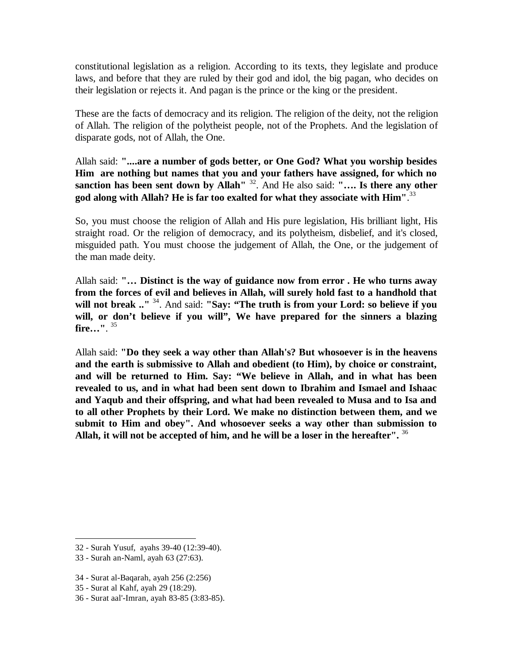constitutional legislation as a religion. According to its texts, they legislate and produce laws, and before that they are ruled by their god and idol, the big pagan, who decides on their legislation or rejects it. And pagan is the prince or the king or the president.

These are the facts of democracy and its religion. The religion of the deity, not the religion of Allah. The religion of the polytheist people, not of the Prophets. And the legislation of disparate gods, not of Allah, the One.

Allah said: **"....are a number of gods better, or One God? What you worship besides Him are nothing but names that you and your fathers have assigned, for which no sanction has been sent down by Allah"** <sup>32</sup> . And He also said: **"…. Is there any other god along with Allah? He is far too exalted for what they associate with Him"**. 33

So, you must choose the religion of Allah and His pure legislation, His brilliant light, His straight road. Or the religion of democracy, and its polytheism, disbelief, and it's closed, misguided path. You must choose the judgement of Allah, the One, or the judgement of the man made deity.

Allah said: **"… Distinct is the way of guidance now from error . He who turns away from the forces of evil and believes in Allah, will surely hold fast to a handhold that will not break .."** <sup>34</sup> . And said: **"Say: "The truth is from your Lord: so believe if you will, or don't believe if you will", We have prepared for the sinners a blazing fire…"**. 35

Allah said: **"Do they seek a way other than Allah's? But whosoever is in the heavens and the earth is submissive to Allah and obedient (to Him), by choice or constraint, and will be returned to Him. Say: "We believe in Allah, and in what has been revealed to us, and in what had been sent down to Ibrahim and Ismael and Ishaac and Yaqub and their offspring, and what had been revealed to Musa and to Isa and to all other Prophets by their Lord. We make no distinction between them, and we submit to Him and obey". And whosoever seeks a way other than submission to Allah, it will not be accepted of him, and he will be a loser in the hereafter".** <sup>36</sup>

33 - Surah an-Naml, ayah 63 (27:63).

- 34 Surat al-Baqarah, ayah 256 (2:256)
- 35 Surat al Kahf, ayah 29 (18:29).
- 36 Surat aal'-Imran, ayah 83-85 (3:83-85).

<sup>32</sup> - Surah Yusuf, ayahs 39-40 (12:39-40).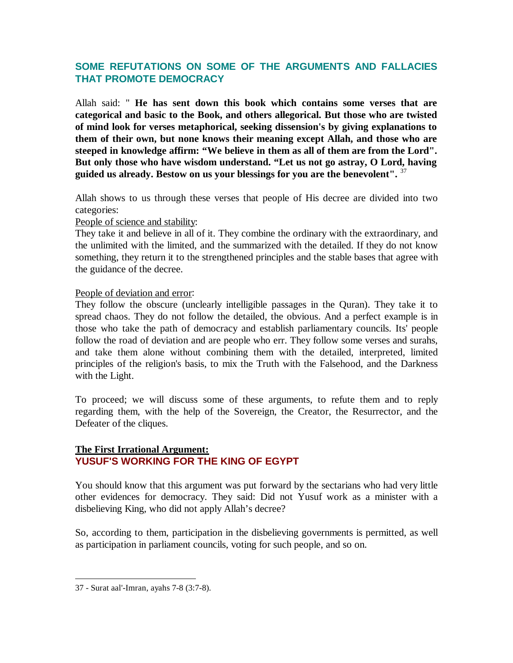# **SOME REFUTATIONS ON SOME OF THE ARGUMENTS AND FALLACIES THAT PROMOTE DEMOCRACY**

Allah said: " **He has sent down this book which contains some verses that are categorical and basic to the Book, and others allegorical. But those who are twisted of mind look for verses metaphorical, seeking dissension's by giving explanations to them of their own, but none knows their meaning except Allah, and those who are steeped in knowledge affirm: "We believe in them as all of them are from the Lord". But only those who have wisdom understand. "Let us not go astray, O Lord, having guided us already. Bestow on us your blessings for you are the benevolent".** <sup>37</sup>

Allah shows to us through these verses that people of His decree are divided into two categories:

People of science and stability:

They take it and believe in all of it. They combine the ordinary with the extraordinary, and the unlimited with the limited, and the summarized with the detailed. If they do not know something, they return it to the strengthened principles and the stable bases that agree with the guidance of the decree.

People of deviation and error:

They follow the obscure (unclearly intelligible passages in the Quran). They take it to spread chaos. They do not follow the detailed, the obvious. And a perfect example is in those who take the path of democracy and establish parliamentary councils. Its' people follow the road of deviation and are people who err. They follow some verses and surahs, and take them alone without combining them with the detailed, interpreted, limited principles of the religion's basis, to mix the Truth with the Falsehood, and the Darkness with the Light.

To proceed; we will discuss some of these arguments, to refute them and to reply regarding them, with the help of the Sovereign, the Creator, the Resurrector, and the Defeater of the cliques.

### **The First Irrational Argument: YUSUF'S WORKING FOR THE KING OF EGYPT**

You should know that this argument was put forward by the sectarians who had very little other evidences for democracy. They said: Did not Yusuf work as a minister with a disbelieving King, who did not apply Allah's decree?

So, according to them, participation in the disbelieving governments is permitted, as well as participation in parliament councils, voting for such people, and so on.

<sup>37</sup> - Surat aal'-Imran, ayahs 7-8 (3:7-8).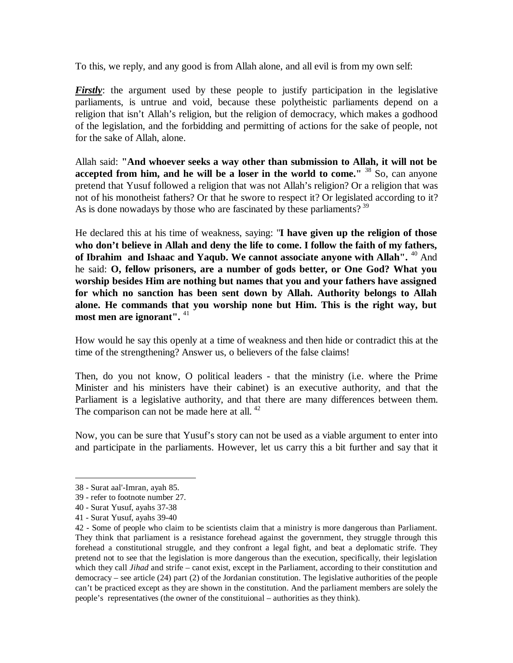To this, we reply, and any good is from Allah alone, and all evil is from my own self:

*Firstly*: the argument used by these people to justify participation in the legislative parliaments, is untrue and void, because these polytheistic parliaments depend on a religion that isn't Allah's religion, but the religion of democracy, which makes a godhood of the legislation, and the forbidding and permitting of actions for the sake of people, not for the sake of Allah, alone.

Allah said: **"And whoever seeks a way other than submission to Allah, it will not be accepted from him, and he will be a loser in the world to come."** <sup>38</sup> So, can anyone pretend that Yusuf followed a religion that was not Allah's religion? Or a religion that was not of his monotheist fathers? Or that he swore to respect it? Or legislated according to it? As is done nowadays by those who are fascinated by these parliaments?  $39$ 

He declared this at his time of weakness, saying: "**I have given up the religion of those who don't believe in Allah and deny the life to come. I follow the faith of my fathers, of Ibrahim and Ishaac and Yaqub. We cannot associate anyone with Allah".** <sup>40</sup> And he said: **O, fellow prisoners, are a number of gods better, or One God? What you worship besides Him are nothing but names that you and your fathers have assigned for which no sanction has been sent down by Allah. Authority belongs to Allah alone. He commands that you worship none but Him. This is the right way, but most men are ignorant".** <sup>41</sup>

How would he say this openly at a time of weakness and then hide or contradict this at the time of the strengthening? Answer us, o believers of the false claims!

Then, do you not know, O political leaders - that the ministry (i.e. where the Prime Minister and his ministers have their cabinet) is an executive authority, and that the Parliament is a legislative authority, and that there are many differences between them. The comparison can not be made here at all.<sup>42</sup>

Now, you can be sure that Yusuf's story can not be used as a viable argument to enter into and participate in the parliaments. However, let us carry this a bit further and say that it

<sup>38</sup> - Surat aal'-Imran, ayah 85.

<sup>39</sup> - refer to footnote number 27.

<sup>40</sup> - Surat Yusuf, ayahs 37-38

<sup>41</sup> - Surat Yusuf, ayahs 39-40

<sup>42</sup> - Some of people who claim to be scientists claim that a ministry is more dangerous than Parliament. They think that parliament is a resistance forehead against the government, they struggle through this forehead a constitutional struggle, and they confront a legal fight, and beat a deplomatic strife. They pretend not to see that the legislation is more dangerous than the execution, specifically, their legislation which they call *Jihad* and strife – canot exist, except in the Parliament, according to their constitution and democracy – see article (24) part (2) of the Jordanian constitution. The legislative authorities of the people can't be practiced except as they are shown in the constitution. And the parliament members are solely the people's representatives (the owner of the constituional – authorities as they think).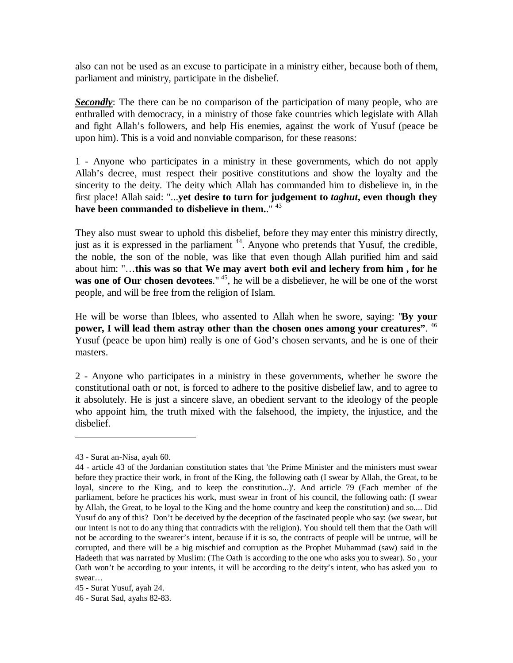also can not be used as an excuse to participate in a ministry either, because both of them, parliament and ministry, participate in the disbelief.

*Secondly*: The there can be no comparison of the participation of many people, who are enthralled with democracy, in a ministry of those fake countries which legislate with Allah and fight Allah's followers, and help His enemies, against the work of Yusuf (peace be upon him). This is a void and nonviable comparison, for these reasons:

1 - Anyone who participates in a ministry in these governments, which do not apply Allah's decree, must respect their positive constitutions and show the loyalty and the sincerity to the deity. The deity which Allah has commanded him to disbelieve in, in the first place! Allah said: "...**yet desire to turn for judgement to** *taghut***, even though they have been commanded to disbelieve in them.**." <sup>43</sup>

They also must swear to uphold this disbelief, before they may enter this ministry directly, just as it is expressed in the parliament<sup>44</sup>. Anyone who pretends that Yusuf, the credible, the noble, the son of the noble, was like that even though Allah purified him and said about him: "…**this was so that We may avert both evil and lechery from him , for he**  was one of Our chosen devotees."<sup>45</sup>, he will be a disbeliever, he will be one of the worst people, and will be free from the religion of Islam.

He will be worse than Iblees, who assented to Allah when he swore, saying: "**By your power, I will lead them astray other than the chosen ones among your creatures"**. 46 Yusuf (peace be upon him) really is one of God's chosen servants, and he is one of their masters.

2 - Anyone who participates in a ministry in these governments, whether he swore the constitutional oath or not, is forced to adhere to the positive disbelief law, and to agree to it absolutely. He is just a sincere slave, an obedient servant to the ideology of the people who appoint him, the truth mixed with the falsehood, the impiety, the injustice, and the disbelief.

<sup>43</sup> - Surat an-Nisa, ayah 60.

<sup>44</sup> - article 43 of the Jordanian constitution states that 'the Prime Minister and the ministers must swear before they practice their work, in front of the King, the following oath (I swear by Allah, the Great, to be loyal, sincere to the King, and to keep the constitution...)'. And article 79 (Each member of the parliament, before he practices his work, must swear in front of his council, the following oath: (I swear by Allah, the Great, to be loyal to the King and the home country and keep the constitution) and so.... Did Yusuf do any of this? Don't be deceived by the deception of the fascinated people who say: (we swear, but our intent is not to do any thing that contradicts with the religion). You should tell them that the Oath will not be according to the swearer's intent, because if it is so, the contracts of people will be untrue, will be corrupted, and there will be a big mischief and corruption as the Prophet Muhammad (saw) said in the Hadeeth that was narrated by Muslim: (The Oath is according to the one who asks you to swear). So , your Oath won't be according to your intents, it will be according to the deity's intent, who has asked you to swear…

<sup>45</sup> - Surat Yusuf, ayah 24.

<sup>46</sup> - Surat Sad, ayahs 82-83.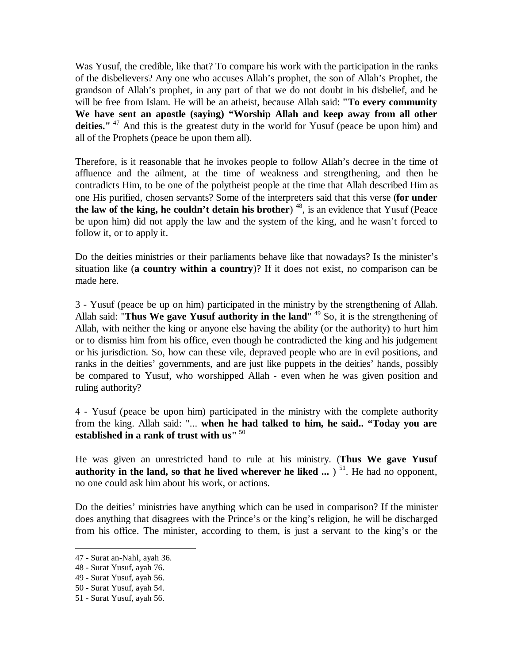Was Yusuf, the credible, like that? To compare his work with the participation in the ranks of the disbelievers? Any one who accuses Allah's prophet, the son of Allah's Prophet, the grandson of Allah's prophet, in any part of that we do not doubt in his disbelief, and he will be free from Islam. He will be an atheist, because Allah said: **"To every community We have sent an apostle (saying) "Worship Allah and keep away from all other**  deities."<sup>47</sup> And this is the greatest duty in the world for Yusuf (peace be upon him) and all of the Prophets (peace be upon them all).

Therefore, is it reasonable that he invokes people to follow Allah's decree in the time of affluence and the ailment, at the time of weakness and strengthening, and then he contradicts Him, to be one of the polytheist people at the time that Allah described Him as one His purified, chosen servants? Some of the interpreters said that this verse (**for under the law of the king, he couldn't detain his brother**) <sup>48</sup> , is an evidence that Yusuf (Peace be upon him) did not apply the law and the system of the king, and he wasn't forced to follow it, or to apply it.

Do the deities ministries or their parliaments behave like that nowadays? Is the minister's situation like (**a country within a country**)? If it does not exist, no comparison can be made here.

3 - Yusuf (peace be up on him) participated in the ministry by the strengthening of Allah. Allah said: "**Thus We gave Yusuf authority in the land**" <sup>49</sup> So, it is the strengthening of Allah, with neither the king or anyone else having the ability (or the authority) to hurt him or to dismiss him from his office, even though he contradicted the king and his judgement or his jurisdiction. So, how can these vile, depraved people who are in evil positions, and ranks in the deities' governments, and are just like puppets in the deities' hands, possibly be compared to Yusuf, who worshipped Allah - even when he was given position and ruling authority?

4 - Yusuf (peace be upon him) participated in the ministry with the complete authority from the king. Allah said: "... **when he had talked to him, he said.. "Today you are established in a rank of trust with us"** <sup>50</sup>

He was given an unrestricted hand to rule at his ministry. (**Thus We gave Yusuf authority in the land, so that he lived wherever he liked ...** ) <sup>51</sup> . He had no opponent, no one could ask him about his work, or actions.

Do the deities' ministries have anything which can be used in comparison? If the minister does anything that disagrees with the Prince's or the king's religion, he will be discharged from his office. The minister, according to them, is just a servant to the king's or the

<sup>47</sup> - Surat an-Nahl, ayah 36.

<sup>48</sup> - Surat Yusuf, ayah 76.

<sup>49</sup> - Surat Yusuf, ayah 56.

<sup>50</sup> - Surat Yusuf, ayah 54.

<sup>51</sup> - Surat Yusuf, ayah 56.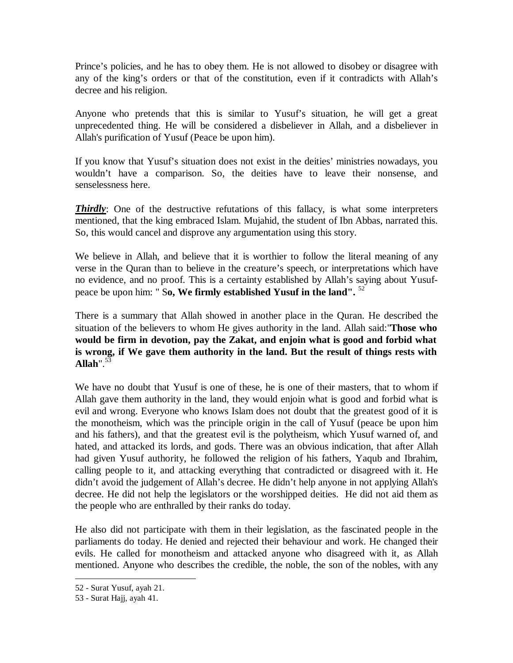Prince's policies, and he has to obey them. He is not allowed to disobey or disagree with any of the king's orders or that of the constitution, even if it contradicts with Allah's decree and his religion.

Anyone who pretends that this is similar to Yusuf's situation, he will get a great unprecedented thing. He will be considered a disbeliever in Allah, and a disbeliever in Allah's purification of Yusuf (Peace be upon him).

If you know that Yusuf's situation does not exist in the deities' ministries nowadays, you wouldn't have a comparison. So, the deities have to leave their nonsense, and senselessness here.

*Thirdly*: One of the destructive refutations of this fallacy, is what some interpreters mentioned, that the king embraced Islam. Mujahid, the student of Ibn Abbas, narrated this. So, this would cancel and disprove any argumentation using this story.

We believe in Allah, and believe that it is worthier to follow the literal meaning of any verse in the Quran than to believe in the creature's speech, or interpretations which have no evidence, and no proof. This is a certainty established by Allah's saying about Yusufpeace be upon him: " S**o, We firmly established Yusuf in the land".** <sup>52</sup>

There is a summary that Allah showed in another place in the Quran. He described the situation of the believers to whom He gives authority in the land. Allah said:"**Those who would be firm in devotion, pay the Zakat, and enjoin what is good and forbid what is wrong, if We gave them authority in the land. But the result of things rests with Allah**".<sup>53</sup>

We have no doubt that Yusuf is one of these, he is one of their masters, that to whom if Allah gave them authority in the land, they would enjoin what is good and forbid what is evil and wrong. Everyone who knows Islam does not doubt that the greatest good of it is the monotheism, which was the principle origin in the call of Yusuf (peace be upon him and his fathers), and that the greatest evil is the polytheism, which Yusuf warned of, and hated, and attacked its lords, and gods. There was an obvious indication, that after Allah had given Yusuf authority, he followed the religion of his fathers, Yaqub and Ibrahim, calling people to it, and attacking everything that contradicted or disagreed with it. He didn't avoid the judgement of Allah's decree. He didn't help anyone in not applying Allah's decree. He did not help the legislators or the worshipped deities. He did not aid them as the people who are enthralled by their ranks do today.

He also did not participate with them in their legislation, as the fascinated people in the parliaments do today. He denied and rejected their behaviour and work. He changed their evils. He called for monotheism and attacked anyone who disagreed with it, as Allah mentioned. Anyone who describes the credible, the noble, the son of the nobles, with any

<sup>52</sup> - Surat Yusuf, ayah 21.

<sup>53</sup> - Surat Hajj, ayah 41.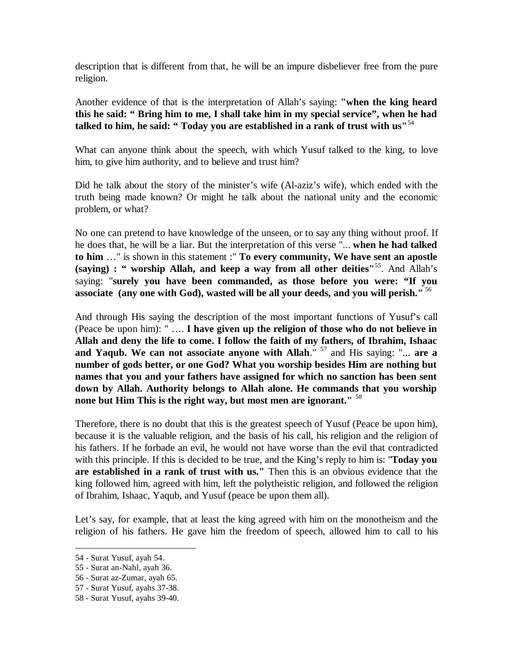description that is different from that, he will be an impure disbeliever free from the pure religion.

Another evidence of that is the interpretation of Allah's saying: **"when the king heard this he said: " Bring him to me, I shall take him in my special service", when he had talked to him, he said: " Today you are established in a rank of trust with us"**<sup>54</sup>

What can anyone think about the speech, with which Yusuf talked to the king, to love him, to give him authority, and to believe and trust him?

Did he talk about the story of the minister's wife (Al-aziz's wife), which ended with the truth being made known? Or might he talk about the national unity and the economic problem, or what?

No one can pretend to have knowledge of the unseen, or to say any thing without proof. If he does that, he will be a liar. But the interpretation of this verse "... **when he had talked to him** …" is shown in this statement :" **To every community, We have sent an apostle (saying) : " worship Allah, and keep a way from all other deities"**<sup>55</sup> . And Allah's saying: "**surely you have been commanded, as those before you were: "If you associate (any one with God), wasted will be all your deeds, and you will perish."** <sup>56</sup>

And through His saying the description of the most important functions of Yusuf's call (Peace be upon him): " …. **I have given up the religion of those who do not believe in Allah and deny the life to come. I follow the faith of my fathers, of Ibrahim, Ishaac and Yaqub. We can not associate anyone with Allah**." <sup>57</sup> and His saying: "... **are a number of gods better, or one God? What you worship besides Him are nothing but names that you and your fathers have assigned for which no sanction has been sent down by Allah. Authority belongs to Allah alone. He commands that you worship none but Him This is the right way, but most men are ignorant."** <sup>58</sup>

Therefore, there is no doubt that this is the greatest speech of Yusuf (Peace be upon him), because it is the valuable religion, and the basis of his call, his religion and the religion of his fathers. If he forbade an evil, he would not have worse than the evil that contradicted with this principle. If this is decided to be true, and the King's reply to him is: "**Today you are established in a rank of trust with us."** Then this is an obvious evidence that the king followed him, agreed with him, left the polytheistic religion, and followed the religion of Ibrahim, Ishaac, Yaqub, and Yusuf (peace be upon them all).

Let's say, for example, that at least the king agreed with him on the monotheism and the religion of his fathers. He gave him the freedom of speech, allowed him to call to his

<sup>54</sup> - Surat Yusuf, ayah 54.

<sup>55</sup> - Surat an-Nahl, ayah 36.

<sup>56</sup> - Surat az-Zumar, ayah 65.

<sup>57</sup> - Surat Yusuf, ayahs 37-38.

<sup>58</sup> - Surat Yusuf, ayahs 39-40.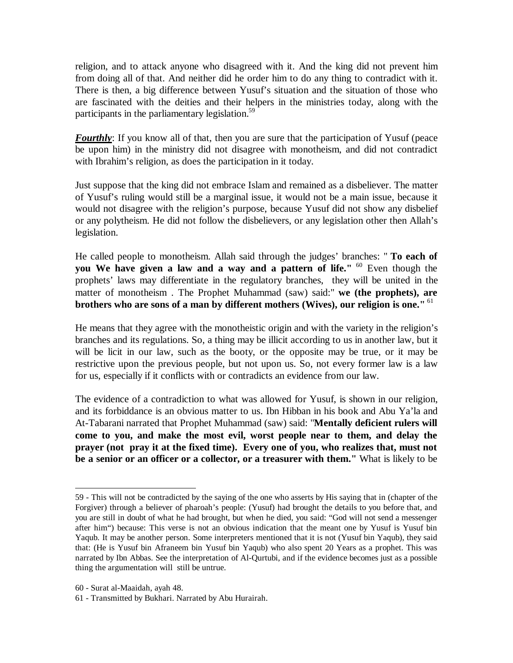religion, and to attack anyone who disagreed with it. And the king did not prevent him from doing all of that. And neither did he order him to do any thing to contradict with it. There is then, a big difference between Yusuf's situation and the situation of those who are fascinated with the deities and their helpers in the ministries today, along with the participants in the parliamentary legislation.<sup>59</sup>

**Fourthly**: If you know all of that, then you are sure that the participation of Yusuf (peace be upon him) in the ministry did not disagree with monotheism, and did not contradict with Ibrahim's religion, as does the participation in it today.

Just suppose that the king did not embrace Islam and remained as a disbeliever. The matter of Yusuf's ruling would still be a marginal issue, it would not be a main issue, because it would not disagree with the religion's purpose, because Yusuf did not show any disbelief or any polytheism. He did not follow the disbelievers, or any legislation other then Allah's legislation.

He called people to monotheism. Allah said through the judges' branches: " **To each of you We have given a law and a way and a pattern of life."** <sup>60</sup> Even though the prophets' laws may differentiate in the regulatory branches, they will be united in the matter of monotheism . The Prophet Muhammad (saw) said:" **we (the prophets), are brothers who are sons of a man by different mothers (Wives), our religion is one."** <sup>61</sup>

He means that they agree with the monotheistic origin and with the variety in the religion's branches and its regulations. So, a thing may be illicit according to us in another law, but it will be licit in our law, such as the booty, or the opposite may be true, or it may be restrictive upon the previous people, but not upon us. So, not every former law is a law for us, especially if it conflicts with or contradicts an evidence from our law.

The evidence of a contradiction to what was allowed for Yusuf, is shown in our religion, and its forbiddance is an obvious matter to us. Ibn Hibban in his book and Abu Ya'la and At-Tabarani narrated that Prophet Muhammad (saw) said: "**Mentally deficient rulers will come to you, and make the most evil, worst people near to them, and delay the prayer (not pray it at the fixed time). Every one of you, who realizes that, must not be a senior or an officer or a collector, or a treasurer with them."** What is likely to be

<sup>59</sup> - This will not be contradicted by the saying of the one who asserts by His saying that in (chapter of the Forgiver) through a believer of pharoah's people: (Yusuf) had brought the details to you before that, and you are still in doubt of what he had brought, but when he died, you said: "God will not send a messenger after him") because: This verse is not an obvious indication that the meant one by Yusuf is Yusuf bin Yaqub. It may be another person. Some interpreters mentioned that it is not (Yusuf bin Yaqub), they said that: (He is Yusuf bin Afraneem bin Yusuf bin Yaqub) who also spent 20 Years as a prophet. This was narrated by Ibn Abbas. See the interpretation of Al-Qurtubi, and if the evidence becomes just as a possible thing the argumentation will still be untrue.

<sup>60</sup> - Surat al-Maaidah, ayah 48.

<sup>61</sup> - Transmitted by Bukhari. Narrated by Abu Hurairah.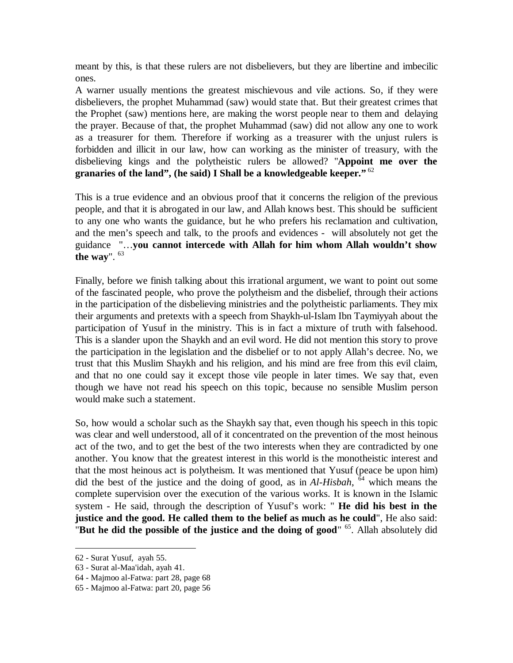meant by this, is that these rulers are not disbelievers, but they are libertine and imbecilic ones.

A warner usually mentions the greatest mischievous and vile actions. So, if they were disbelievers, the prophet Muhammad (saw) would state that. But their greatest crimes that the Prophet (saw) mentions here, are making the worst people near to them and delaying the prayer. Because of that, the prophet Muhammad (saw) did not allow any one to work as a treasurer for them. Therefore if working as a treasurer with the unjust rulers is forbidden and illicit in our law, how can working as the minister of treasury, with the disbelieving kings and the polytheistic rulers be allowed? "**Appoint me over the granaries of the land", (he said) I Shall be a knowledgeable keeper."** <sup>62</sup>

This is a true evidence and an obvious proof that it concerns the religion of the previous people, and that it is abrogated in our law, and Allah knows best. This should be sufficient to any one who wants the guidance, but he who prefers his reclamation and cultivation, and the men's speech and talk, to the proofs and evidences - will absolutely not get the guidance "…**you cannot intercede with Allah for him whom Allah wouldn't show the way**". 63

Finally, before we finish talking about this irrational argument, we want to point out some of the fascinated people, who prove the polytheism and the disbelief, through their actions in the participation of the disbelieving ministries and the polytheistic parliaments. They mix their arguments and pretexts with a speech from Shaykh-ul-Islam Ibn Taymiyyah about the participation of Yusuf in the ministry. This is in fact a mixture of truth with falsehood. This is a slander upon the Shaykh and an evil word. He did not mention this story to prove the participation in the legislation and the disbelief or to not apply Allah's decree. No, we trust that this Muslim Shaykh and his religion, and his mind are free from this evil claim, and that no one could say it except those vile people in later times. We say that, even though we have not read his speech on this topic, because no sensible Muslim person would make such a statement.

So, how would a scholar such as the Shaykh say that, even though his speech in this topic was clear and well understood, all of it concentrated on the prevention of the most heinous act of the two, and to get the best of the two interests when they are contradicted by one another. You know that the greatest interest in this world is the monotheistic interest and that the most heinous act is polytheism. It was mentioned that Yusuf (peace be upon him) did the best of the justice and the doing of good, as in *Al-Hisbah*, 64 which means the complete supervision over the execution of the various works. It is known in the Islamic system - He said, through the description of Yusuf's work: " **He did his best in the justice and the good. He called them to the belief as much as he could**", He also said: "**But he did the possible of the justice and the doing of good**" <sup>65</sup> . Allah absolutely did

<sup>62</sup> - Surat Yusuf, ayah 55.

<sup>63</sup> - Surat al-Maa'idah, ayah 41.

<sup>64</sup> - Majmoo al-Fatwa: part 28, page 68

<sup>65</sup> - Majmoo al-Fatwa: part 20, page 56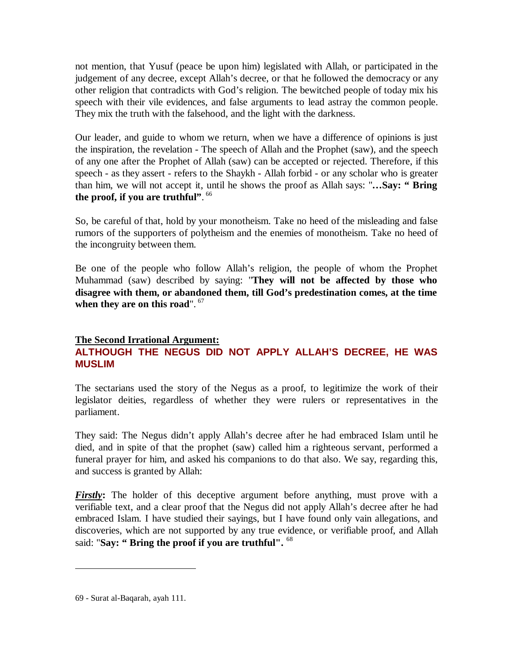not mention, that Yusuf (peace be upon him) legislated with Allah, or participated in the judgement of any decree, except Allah's decree, or that he followed the democracy or any other religion that contradicts with God's religion. The bewitched people of today mix his speech with their vile evidences, and false arguments to lead astray the common people. They mix the truth with the falsehood, and the light with the darkness.

Our leader, and guide to whom we return, when we have a difference of opinions is just the inspiration, the revelation - The speech of Allah and the Prophet (saw), and the speech of any one after the Prophet of Allah (saw) can be accepted or rejected. Therefore, if this speech - as they assert - refers to the Shaykh - Allah forbid - or any scholar who is greater than him, we will not accept it, until he shows the proof as Allah says: "**…Say: " Bring the proof, if you are truthful"**. 66

So, be careful of that, hold by your monotheism. Take no heed of the misleading and false rumors of the supporters of polytheism and the enemies of monotheism. Take no heed of the incongruity between them.

Be one of the people who follow Allah's religion, the people of whom the Prophet Muhammad (saw) described by saying: "**They will not be affected by those who disagree with them, or abandoned them, till God's predestination comes, at the time when they are on this road**". <sup>67</sup>

## **The Second Irrational Argument: ALTHOUGH THE NEGUS DID NOT APPLY ALLAH'S DECREE, HE WAS MUSLIM**

The sectarians used the story of the Negus as a proof, to legitimize the work of their legislator deities, regardless of whether they were rulers or representatives in the parliament.

They said: The Negus didn't apply Allah's decree after he had embraced Islam until he died, and in spite of that the prophet (saw) called him a righteous servant, performed a funeral prayer for him, and asked his companions to do that also. We say, regarding this, and success is granted by Allah:

*Firstly*: The holder of this deceptive argument before anything, must prove with a verifiable text, and a clear proof that the Negus did not apply Allah's decree after he had embraced Islam. I have studied their sayings, but I have found only vain allegations, and discoveries, which are not supported by any true evidence, or verifiable proof, and Allah said: "**Say: " Bring the proof if you are truthful".** <sup>68</sup>

<sup>69</sup> - Surat al-Baqarah, ayah 111.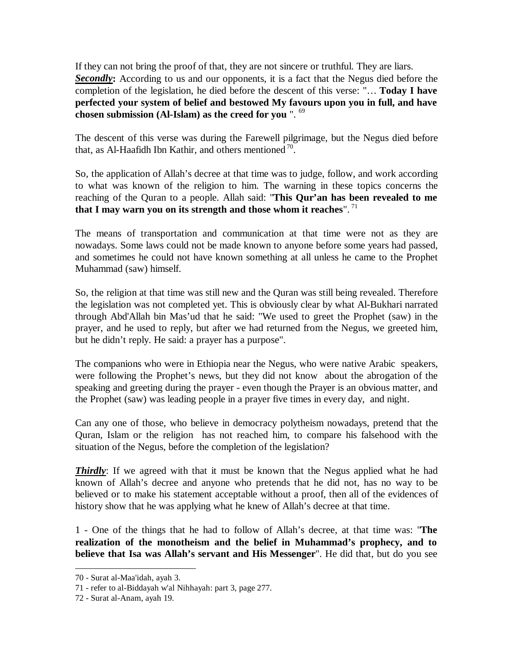If they can not bring the proof of that, they are not sincere or truthful. They are liars. **Secondly:** According to us and our opponents, it is a fact that the Negus died before the completion of the legislation, he died before the descent of this verse: "… **Today I have perfected your system of belief and bestowed My favours upon you in full, and have chosen submission (Al-Islam) as the creed for you** ". 69

The descent of this verse was during the Farewell pilgrimage, but the Negus died before that, as Al-Haafidh Ibn Kathir, and others mentioned  $70$ .

So, the application of Allah's decree at that time was to judge, follow, and work according to what was known of the religion to him. The warning in these topics concerns the reaching of the Quran to a people. Allah said: "**This Qur'an has been revealed to me that I may warn you on its strength and those whom it reaches**". <sup>71</sup>

The means of transportation and communication at that time were not as they are nowadays. Some laws could not be made known to anyone before some years had passed, and sometimes he could not have known something at all unless he came to the Prophet Muhammad (saw) himself.

So, the religion at that time was still new and the Quran was still being revealed. Therefore the legislation was not completed yet. This is obviously clear by what Al-Bukhari narrated through Abd'Allah bin Mas'ud that he said: "We used to greet the Prophet (saw) in the prayer, and he used to reply, but after we had returned from the Negus, we greeted him, but he didn't reply. He said: a prayer has a purpose".

The companions who were in Ethiopia near the Negus, who were native Arabic speakers, were following the Prophet's news, but they did not know about the abrogation of the speaking and greeting during the prayer - even though the Prayer is an obvious matter, and the Prophet (saw) was leading people in a prayer five times in every day, and night.

Can any one of those, who believe in democracy polytheism nowadays, pretend that the Quran, Islam or the religion has not reached him, to compare his falsehood with the situation of the Negus, before the completion of the legislation?

*Thirdly*: If we agreed with that it must be known that the Negus applied what he had known of Allah's decree and anyone who pretends that he did not, has no way to be believed or to make his statement acceptable without a proof, then all of the evidences of history show that he was applying what he knew of Allah's decree at that time.

1 - One of the things that he had to follow of Allah's decree, at that time was: "**The realization of the monotheism and the belief in Muhammad's prophecy, and to believe that Isa was Allah's servant and His Messenger**". He did that, but do you see

<sup>70</sup> - Surat al-Maa'idah, ayah 3.

<sup>71</sup> - refer to al-Biddayah w'al Nihhayah: part 3, page 277.

<sup>72</sup> - Surat al-Anam, ayah 19.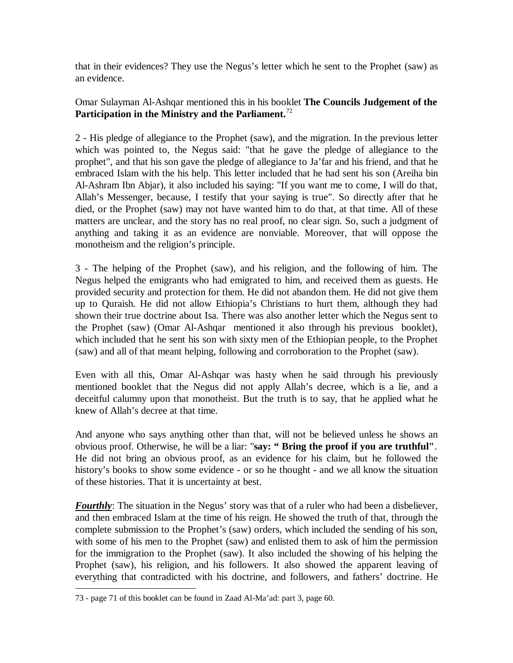that in their evidences? They use the Negus's letter which he sent to the Prophet (saw) as an evidence.

## Omar Sulayman Al-Ashqar mentioned this in his booklet **The Councils Judgement of the Participation in the Ministry and the Parliament.**<sup>72</sup>

2 - His pledge of allegiance to the Prophet (saw), and the migration. In the previous letter which was pointed to, the Negus said: "that he gave the pledge of allegiance to the prophet", and that his son gave the pledge of allegiance to Ja'far and his friend, and that he embraced Islam with the his help. This letter included that he had sent his son (Areiha bin Al-Ashram Ibn Abjar), it also included his saying: "If you want me to come, I will do that, Allah's Messenger, because, I testify that your saying is true". So directly after that he died, or the Prophet (saw) may not have wanted him to do that, at that time. All of these matters are unclear, and the story has no real proof, no clear sign. So, such a judgment of anything and taking it as an evidence are nonviable. Moreover, that will oppose the monotheism and the religion's principle.

3 - The helping of the Prophet (saw), and his religion, and the following of him. The Negus helped the emigrants who had emigrated to him, and received them as guests. He provided security and protection for them. He did not abandon them. He did not give them up to Quraish. He did not allow Ethiopia's Christians to hurt them, although they had shown their true doctrine about Isa. There was also another letter which the Negus sent to the Prophet (saw) (Omar Al-Ashqar mentioned it also through his previous booklet), which included that he sent his son with sixty men of the Ethiopian people, to the Prophet (saw) and all of that meant helping, following and corroboration to the Prophet (saw).

Even with all this, Omar Al-Ashqar was hasty when he said through his previously mentioned booklet that the Negus did not apply Allah's decree, which is a lie, and a deceitful calumny upon that monotheist. But the truth is to say, that he applied what he knew of Allah's decree at that time.

And anyone who says anything other than that, will not be believed unless he shows an obvious proof. Otherwise, he will be a liar: "**say: " Bring the proof if you are truthful"**. He did not bring an obvious proof, as an evidence for his claim, but he followed the history's books to show some evidence - or so he thought - and we all know the situation of these histories. That it is uncertainty at best.

**Fourthly**: The situation in the Negus' story was that of a ruler who had been a disbeliever, and then embraced Islam at the time of his reign. He showed the truth of that, through the complete submission to the Prophet's (saw) orders, which included the sending of his son, with some of his men to the Prophet (saw) and enlisted them to ask of him the permission for the immigration to the Prophet (saw). It also included the showing of his helping the Prophet (saw), his religion, and his followers. It also showed the apparent leaving of everything that contradicted with his doctrine, and followers, and fathers' doctrine. He

<sup>73</sup> - page 71 of this booklet can be found in Zaad Al-Ma'ad: part 3, page 60.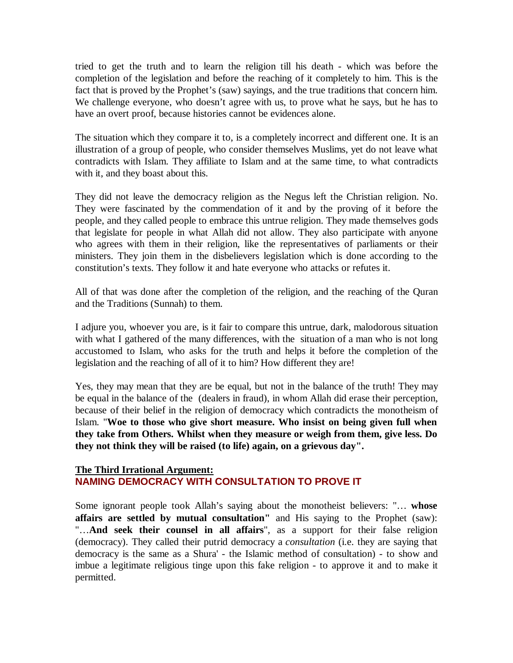tried to get the truth and to learn the religion till his death - which was before the completion of the legislation and before the reaching of it completely to him. This is the fact that is proved by the Prophet's (saw) sayings, and the true traditions that concern him. We challenge everyone, who doesn't agree with us, to prove what he says, but he has to have an overt proof, because histories cannot be evidences alone.

The situation which they compare it to, is a completely incorrect and different one. It is an illustration of a group of people, who consider themselves Muslims, yet do not leave what contradicts with Islam. They affiliate to Islam and at the same time, to what contradicts with it, and they boast about this.

They did not leave the democracy religion as the Negus left the Christian religion. No. They were fascinated by the commendation of it and by the proving of it before the people, and they called people to embrace this untrue religion. They made themselves gods that legislate for people in what Allah did not allow. They also participate with anyone who agrees with them in their religion, like the representatives of parliaments or their ministers. They join them in the disbelievers legislation which is done according to the constitution's texts. They follow it and hate everyone who attacks or refutes it.

All of that was done after the completion of the religion, and the reaching of the Quran and the Traditions (Sunnah) to them.

I adjure you, whoever you are, is it fair to compare this untrue, dark, malodorous situation with what I gathered of the many differences, with the situation of a man who is not long accustomed to Islam, who asks for the truth and helps it before the completion of the legislation and the reaching of all of it to him? How different they are!

Yes, they may mean that they are be equal, but not in the balance of the truth! They may be equal in the balance of the (dealers in fraud), in whom Allah did erase their perception, because of their belief in the religion of democracy which contradicts the monotheism of Islam. "**Woe to those who give short measure. Who insist on being given full when they take from Others. Whilst when they measure or weigh from them, give less. Do they not think they will be raised (to life) again, on a grievous day".**

### **The Third Irrational Argument: NAMING DEMOCRACY WITH CONSULTATION TO PROVE IT**

Some ignorant people took Allah's saying about the monotheist believers: "… **whose affairs are settled by mutual consultation"** and His saying to the Prophet (saw): "…**And seek their counsel in all affairs**", as a support for their false religion (democracy). They called their putrid democracy a *consultation* (i.e. they are saying that democracy is the same as a Shura' - the Islamic method of consultation) - to show and imbue a legitimate religious tinge upon this fake religion - to approve it and to make it permitted.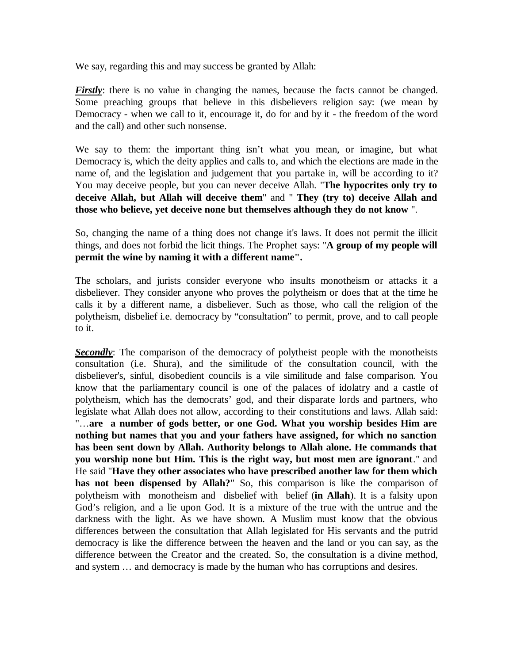We say, regarding this and may success be granted by Allah:

*Firstly*: there is no value in changing the names, because the facts cannot be changed. Some preaching groups that believe in this disbelievers religion say: (we mean by Democracy - when we call to it, encourage it, do for and by it - the freedom of the word and the call) and other such nonsense.

We say to them: the important thing isn't what you mean, or imagine, but what Democracy is, which the deity applies and calls to, and which the elections are made in the name of, and the legislation and judgement that you partake in, will be according to it? You may deceive people, but you can never deceive Allah. "**The hypocrites only try to deceive Allah, but Allah will deceive them**" and " **They (try to) deceive Allah and those who believe, yet deceive none but themselves although they do not know** ".

So, changing the name of a thing does not change it's laws. It does not permit the illicit things, and does not forbid the licit things. The Prophet says: "**A group of my people will permit the wine by naming it with a different name".**

The scholars, and jurists consider everyone who insults monotheism or attacks it a disbeliever. They consider anyone who proves the polytheism or does that at the time he calls it by a different name, a disbeliever. Such as those, who call the religion of the polytheism, disbelief i.e. democracy by "consultation" to permit, prove, and to call people to it.

**Secondly**: The comparison of the democracy of polytheist people with the monotheists consultation (i.e. Shura), and the similitude of the consultation council, with the disbeliever's, sinful, disobedient councils is a vile similitude and false comparison. You know that the parliamentary council is one of the palaces of idolatry and a castle of polytheism, which has the democrats' god, and their disparate lords and partners, who legislate what Allah does not allow, according to their constitutions and laws. Allah said: "…**are a number of gods better, or one God. What you worship besides Him are nothing but names that you and your fathers have assigned, for which no sanction has been sent down by Allah. Authority belongs to Allah alone. He commands that you worship none but Him. This is the right way, but most men are ignorant**." and He said "**Have they other associates who have prescribed another law for them which has not been dispensed by Allah?**" So, this comparison is like the comparison of polytheism with monotheism and disbelief with belief (**in Allah**). It is a falsity upon God's religion, and a lie upon God. It is a mixture of the true with the untrue and the darkness with the light. As we have shown. A Muslim must know that the obvious differences between the consultation that Allah legislated for His servants and the putrid democracy is like the difference between the heaven and the land or you can say, as the difference between the Creator and the created. So, the consultation is a divine method, and system … and democracy is made by the human who has corruptions and desires.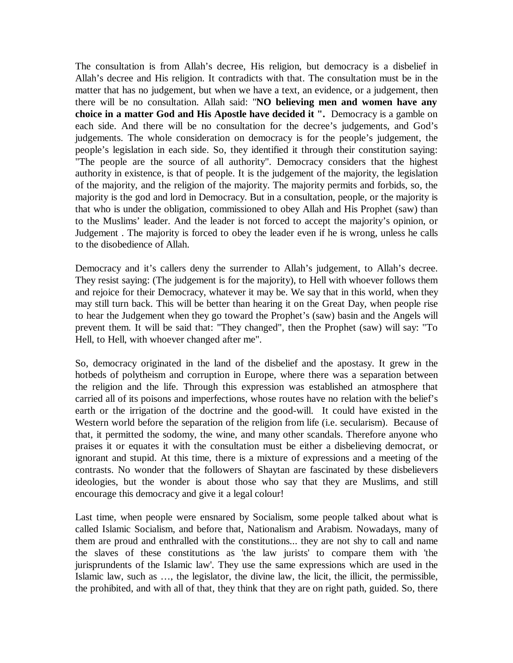The consultation is from Allah's decree, His religion, but democracy is a disbelief in Allah's decree and His religion. It contradicts with that. The consultation must be in the matter that has no judgement, but when we have a text, an evidence, or a judgement, then there will be no consultation. Allah said: "**NO believing men and women have any choice in a matter God and His Apostle have decided it ".** Democracy is a gamble on each side. And there will be no consultation for the decree's judgements, and God's judgements. The whole consideration on democracy is for the people's judgement, the people's legislation in each side. So, they identified it through their constitution saying: "The people are the source of all authority". Democracy considers that the highest authority in existence, is that of people. It is the judgement of the majority, the legislation of the majority, and the religion of the majority. The majority permits and forbids, so, the majority is the god and lord in Democracy. But in a consultation, people, or the majority is that who is under the obligation, commissioned to obey Allah and His Prophet (saw) than to the Muslims' leader. And the leader is not forced to accept the majority's opinion, or Judgement . The majority is forced to obey the leader even if he is wrong, unless he calls to the disobedience of Allah.

Democracy and it's callers deny the surrender to Allah's judgement, to Allah's decree. They resist saying: (The judgement is for the majority), to Hell with whoever follows them and rejoice for their Democracy, whatever it may be. We say that in this world, when they may still turn back. This will be better than hearing it on the Great Day, when people rise to hear the Judgement when they go toward the Prophet's (saw) basin and the Angels will prevent them. It will be said that: "They changed", then the Prophet (saw) will say: "To Hell, to Hell, with whoever changed after me".

So, democracy originated in the land of the disbelief and the apostasy. It grew in the hotbeds of polytheism and corruption in Europe, where there was a separation between the religion and the life. Through this expression was established an atmosphere that carried all of its poisons and imperfections, whose routes have no relation with the belief's earth or the irrigation of the doctrine and the good-will. It could have existed in the Western world before the separation of the religion from life (i.e. secularism). Because of that, it permitted the sodomy, the wine, and many other scandals. Therefore anyone who praises it or equates it with the consultation must be either a disbelieving democrat, or ignorant and stupid. At this time, there is a mixture of expressions and a meeting of the contrasts. No wonder that the followers of Shaytan are fascinated by these disbelievers ideologies, but the wonder is about those who say that they are Muslims, and still encourage this democracy and give it a legal colour!

Last time, when people were ensnared by Socialism, some people talked about what is called Islamic Socialism, and before that, Nationalism and Arabism. Nowadays, many of them are proud and enthralled with the constitutions... they are not shy to call and name the slaves of these constitutions as 'the law jurists' to compare them with 'the jurisprundents of the Islamic law'. They use the same expressions which are used in the Islamic law, such as …, the legislator, the divine law, the licit, the illicit, the permissible, the prohibited, and with all of that, they think that they are on right path, guided. So, there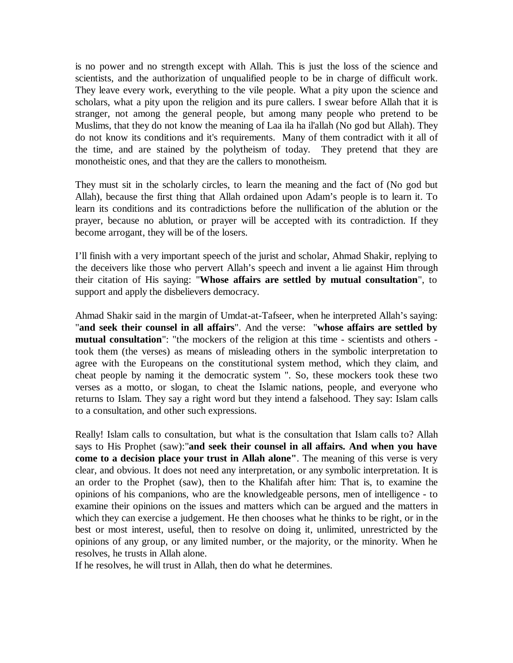is no power and no strength except with Allah. This is just the loss of the science and scientists, and the authorization of unqualified people to be in charge of difficult work. They leave every work, everything to the vile people. What a pity upon the science and scholars, what a pity upon the religion and its pure callers. I swear before Allah that it is stranger, not among the general people, but among many people who pretend to be Muslims, that they do not know the meaning of Laa ila ha il'allah (No god but Allah). They do not know its conditions and it's requirements. Many of them contradict with it all of the time, and are stained by the polytheism of today. They pretend that they are monotheistic ones, and that they are the callers to monotheism.

They must sit in the scholarly circles, to learn the meaning and the fact of (No god but Allah), because the first thing that Allah ordained upon Adam's people is to learn it. To learn its conditions and its contradictions before the nullification of the ablution or the prayer, because no ablution, or prayer will be accepted with its contradiction. If they become arrogant, they will be of the losers.

I'll finish with a very important speech of the jurist and scholar, Ahmad Shakir, replying to the deceivers like those who pervert Allah's speech and invent a lie against Him through their citation of His saying: "**Whose affairs are settled by mutual consultation**", to support and apply the disbelievers democracy.

Ahmad Shakir said in the margin of Umdat-at-Tafseer, when he interpreted Allah's saying: "**and seek their counsel in all affairs**". And the verse: "**whose affairs are settled by mutual consultation**": "the mockers of the religion at this time - scientists and others took them (the verses) as means of misleading others in the symbolic interpretation to agree with the Europeans on the constitutional system method, which they claim, and cheat people by naming it the democratic system ". So, these mockers took these two verses as a motto, or slogan, to cheat the Islamic nations, people, and everyone who returns to Islam. They say a right word but they intend a falsehood. They say: Islam calls to a consultation, and other such expressions.

Really! Islam calls to consultation, but what is the consultation that Islam calls to? Allah says to His Prophet (saw):"**and seek their counsel in all affairs. And when you have come to a decision place your trust in Allah alone"**. The meaning of this verse is very clear, and obvious. It does not need any interpretation, or any symbolic interpretation. It is an order to the Prophet (saw), then to the Khalifah after him: That is, to examine the opinions of his companions, who are the knowledgeable persons, men of intelligence - to examine their opinions on the issues and matters which can be argued and the matters in which they can exercise a judgement. He then chooses what he thinks to be right, or in the best or most interest, useful, then to resolve on doing it, unlimited, unrestricted by the opinions of any group, or any limited number, or the majority, or the minority. When he resolves, he trusts in Allah alone.

If he resolves, he will trust in Allah, then do what he determines.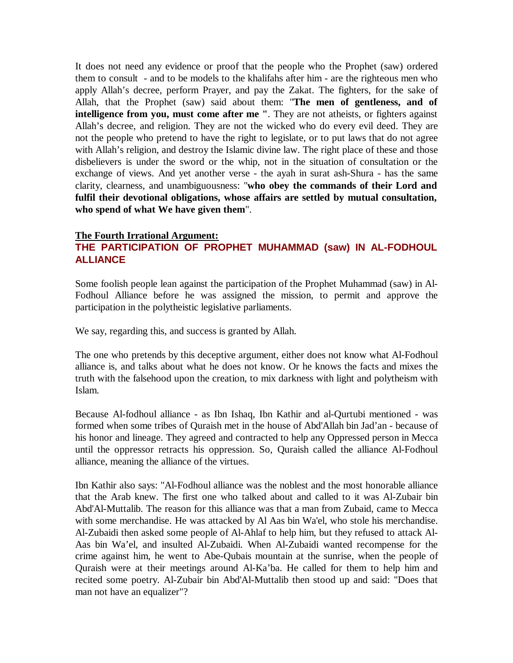It does not need any evidence or proof that the people who the Prophet (saw) ordered them to consult - and to be models to the khalifahs after him - are the righteous men who apply Allah's decree, perform Prayer, and pay the Zakat. The fighters, for the sake of Allah, that the Prophet (saw) said about them: "**The men of gentleness, and of intelligence from you, must come after me "**. They are not atheists, or fighters against Allah's decree, and religion. They are not the wicked who do every evil deed. They are not the people who pretend to have the right to legislate, or to put laws that do not agree with Allah's religion, and destroy the Islamic divine law. The right place of these and those disbelievers is under the sword or the whip, not in the situation of consultation or the exchange of views. And yet another verse - the ayah in surat ash-Shura - has the same clarity, clearness, and unambiguousness: "**who obey the commands of their Lord and fulfil their devotional obligations, whose affairs are settled by mutual consultation, who spend of what We have given them**".

#### **The Fourth Irrational Argument:**

# **THE PARTICIPATION OF PROPHET MUHAMMAD (saw) IN AL-FODHOUL ALLIANCE**

Some foolish people lean against the participation of the Prophet Muhammad (saw) in Al-Fodhoul Alliance before he was assigned the mission, to permit and approve the participation in the polytheistic legislative parliaments.

We say, regarding this, and success is granted by Allah.

The one who pretends by this deceptive argument, either does not know what Al-Fodhoul alliance is, and talks about what he does not know. Or he knows the facts and mixes the truth with the falsehood upon the creation, to mix darkness with light and polytheism with Islam.

Because Al-fodhoul alliance - as Ibn Ishaq, Ibn Kathir and al-Qurtubi mentioned - was formed when some tribes of Quraish met in the house of Abd'Allah bin Jad'an - because of his honor and lineage. They agreed and contracted to help any Oppressed person in Mecca until the oppressor retracts his oppression. So, Quraish called the alliance Al-Fodhoul alliance, meaning the alliance of the virtues.

Ibn Kathir also says: "Al-Fodhoul alliance was the noblest and the most honorable alliance that the Arab knew. The first one who talked about and called to it was Al-Zubair bin Abd'Al-Muttalib. The reason for this alliance was that a man from Zubaid, came to Mecca with some merchandise. He was attacked by Al Aas bin Wa'el, who stole his merchandise. Al-Zubaidi then asked some people of Al-Ahlaf to help him, but they refused to attack Al-Aas bin Wa'el, and insulted Al-Zubaidi. When Al-Zubaidi wanted recompense for the crime against him, he went to Abe-Qubais mountain at the sunrise, when the people of Quraish were at their meetings around Al-Ka'ba. He called for them to help him and recited some poetry. Al-Zubair bin Abd'Al-Muttalib then stood up and said: "Does that man not have an equalizer"?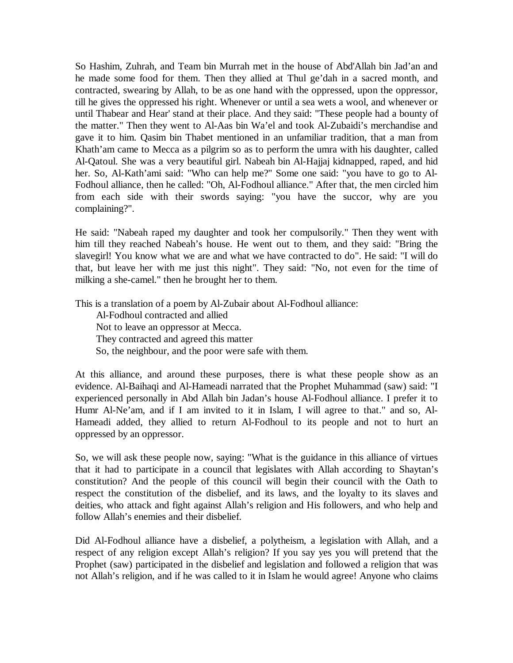So Hashim, Zuhrah, and Team bin Murrah met in the house of Abd'Allah bin Jad'an and he made some food for them. Then they allied at Thul ge'dah in a sacred month, and contracted, swearing by Allah, to be as one hand with the oppressed, upon the oppressor, till he gives the oppressed his right. Whenever or until a sea wets a wool, and whenever or until Thabear and Hear' stand at their place. And they said: "These people had a bounty of the matter." Then they went to Al-Aas bin Wa'el and took Al-Zubaidi's merchandise and gave it to him. Qasim bin Thabet mentioned in an unfamiliar tradition, that a man from Khath'am came to Mecca as a pilgrim so as to perform the umra with his daughter, called Al-Qatoul. She was a very beautiful girl. Nabeah bin Al-Hajjaj kidnapped, raped, and hid her. So, Al-Kath'ami said: "Who can help me?" Some one said: "you have to go to Al-Fodhoul alliance, then he called: "Oh, Al-Fodhoul alliance." After that, the men circled him from each side with their swords saying: "you have the succor, why are you complaining?".

He said: "Nabeah raped my daughter and took her compulsorily." Then they went with him till they reached Nabeah's house. He went out to them, and they said: "Bring the slavegirl! You know what we are and what we have contracted to do". He said: "I will do that, but leave her with me just this night". They said: "No, not even for the time of milking a she-camel." then he brought her to them.

This is a translation of a poem by Al-Zubair about Al-Fodhoul alliance:

 Al-Fodhoul contracted and allied Not to leave an oppressor at Mecca. They contracted and agreed this matter So, the neighbour, and the poor were safe with them.

At this alliance, and around these purposes, there is what these people show as an evidence. Al-Baihaqi and Al-Hameadi narrated that the Prophet Muhammad (saw) said: "I experienced personally in Abd Allah bin Jadan's house Al-Fodhoul alliance. I prefer it to Humr Al-Ne'am, and if I am invited to it in Islam, I will agree to that." and so, Al-Hameadi added, they allied to return Al-Fodhoul to its people and not to hurt an oppressed by an oppressor.

So, we will ask these people now, saying: "What is the guidance in this alliance of virtues that it had to participate in a council that legislates with Allah according to Shaytan's constitution? And the people of this council will begin their council with the Oath to respect the constitution of the disbelief, and its laws, and the loyalty to its slaves and deities, who attack and fight against Allah's religion and His followers, and who help and follow Allah's enemies and their disbelief.

Did Al-Fodhoul alliance have a disbelief, a polytheism, a legislation with Allah, and a respect of any religion except Allah's religion? If you say yes you will pretend that the Prophet (saw) participated in the disbelief and legislation and followed a religion that was not Allah's religion, and if he was called to it in Islam he would agree! Anyone who claims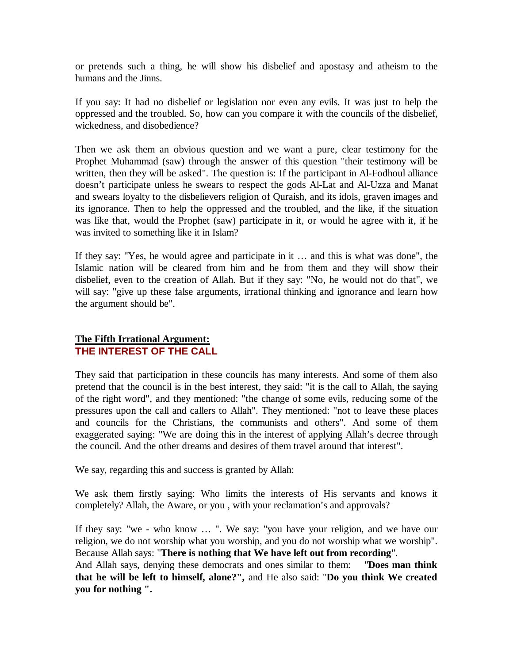or pretends such a thing, he will show his disbelief and apostasy and atheism to the humans and the Jinns.

If you say: It had no disbelief or legislation nor even any evils. It was just to help the oppressed and the troubled. So, how can you compare it with the councils of the disbelief, wickedness, and disobedience?

Then we ask them an obvious question and we want a pure, clear testimony for the Prophet Muhammad (saw) through the answer of this question "their testimony will be written, then they will be asked". The question is: If the participant in Al-Fodhoul alliance doesn't participate unless he swears to respect the gods Al-Lat and Al-Uzza and Manat and swears loyalty to the disbelievers religion of Quraish, and its idols, graven images and its ignorance. Then to help the oppressed and the troubled, and the like, if the situation was like that, would the Prophet (saw) participate in it, or would he agree with it, if he was invited to something like it in Islam?

If they say: "Yes, he would agree and participate in it … and this is what was done", the Islamic nation will be cleared from him and he from them and they will show their disbelief, even to the creation of Allah. But if they say: "No, he would not do that", we will say: "give up these false arguments, irrational thinking and ignorance and learn how the argument should be".

### **The Fifth Irrational Argument: THE INTEREST OF THE CALL**

They said that participation in these councils has many interests. And some of them also pretend that the council is in the best interest, they said: "it is the call to Allah, the saying of the right word", and they mentioned: "the change of some evils, reducing some of the pressures upon the call and callers to Allah". They mentioned: "not to leave these places and councils for the Christians, the communists and others". And some of them exaggerated saying: "We are doing this in the interest of applying Allah's decree through the council. And the other dreams and desires of them travel around that interest".

We say, regarding this and success is granted by Allah:

We ask them firstly saying: Who limits the interests of His servants and knows it completely? Allah, the Aware, or you , with your reclamation's and approvals?

If they say: "we - who know … ". We say: "you have your religion, and we have our religion, we do not worship what you worship, and you do not worship what we worship". Because Allah says: "**There is nothing that We have left out from recording**".

And Allah says, denying these democrats and ones similar to them: "**Does man think that he will be left to himself, alone?",** and He also said: "**Do you think We created you for nothing ".**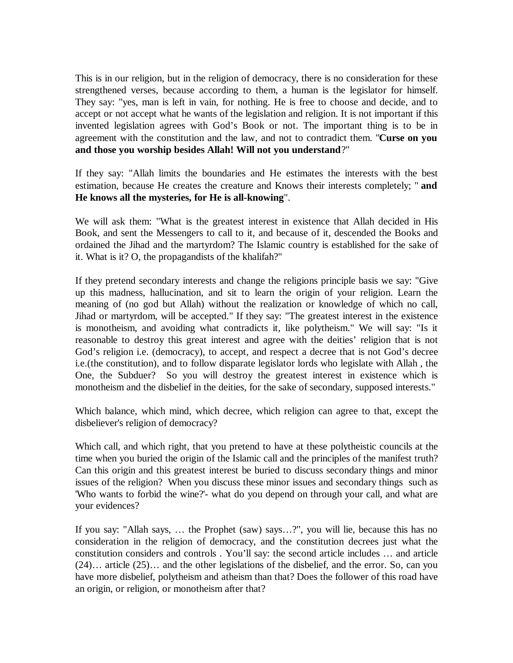This is in our religion, but in the religion of democracy, there is no consideration for these strengthened verses, because according to them, a human is the legislator for himself. They say: "yes, man is left in vain, for nothing. He is free to choose and decide, and to accept or not accept what he wants of the legislation and religion. It is not important if this invented legislation agrees with God's Book or not. The important thing is to be in agreement with the constitution and the law, and not to contradict them. "**Curse on you and those you worship besides Allah! Will not you understand**?"

If they say: "Allah limits the boundaries and He estimates the interests with the best estimation, because He creates the creature and Knows their interests completely; " **and He knows all the mysteries, for He is all-knowing**".

We will ask them: "What is the greatest interest in existence that Allah decided in His Book, and sent the Messengers to call to it, and because of it, descended the Books and ordained the Jihad and the martyrdom? The Islamic country is established for the sake of it. What is it? O, the propagandists of the khalifah?"

If they pretend secondary interests and change the religions principle basis we say: "Give up this madness, hallucination, and sit to learn the origin of your religion. Learn the meaning of (no god but Allah) without the realization or knowledge of which no call, Jihad or martyrdom, will be accepted." If they say: "The greatest interest in the existence is monotheism, and avoiding what contradicts it, like polytheism." We will say: "Is it reasonable to destroy this great interest and agree with the deities' religion that is not God's religion i.e. (democracy), to accept, and respect a decree that is not God's decree i.e.(the constitution), and to follow disparate legislator lords who legislate with Allah , the One, the Subduer? So you will destroy the greatest interest in existence which is monotheism and the disbelief in the deities, for the sake of secondary, supposed interests."

Which balance, which mind, which decree, which religion can agree to that, except the disbeliever's religion of democracy?

Which call, and which right, that you pretend to have at these polytheistic councils at the time when you buried the origin of the Islamic call and the principles of the manifest truth? Can this origin and this greatest interest be buried to discuss secondary things and minor issues of the religion? When you discuss these minor issues and secondary things such as 'Who wants to forbid the wine?'- what do you depend on through your call, and what are your evidences?

If you say: "Allah says, … the Prophet (saw) says…?", you will lie, because this has no consideration in the religion of democracy, and the constitution decrees just what the constitution considers and controls . You'll say: the second article includes … and article (24)… article (25)… and the other legislations of the disbelief, and the error. So, can you have more disbelief, polytheism and atheism than that? Does the follower of this road have an origin, or religion, or monotheism after that?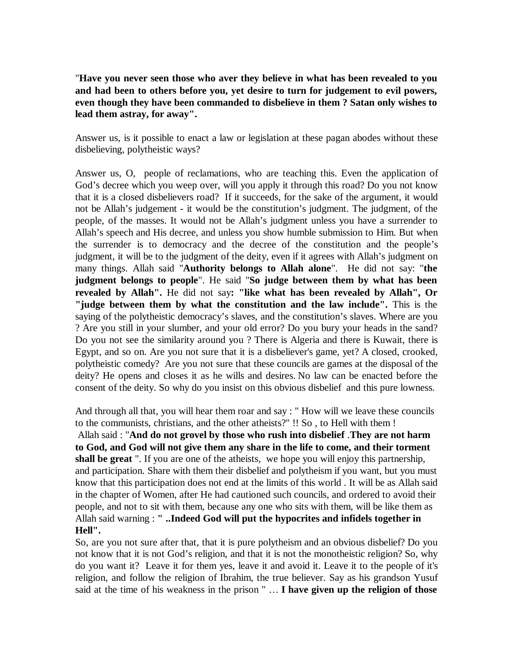"**Have you never seen those who aver they believe in what has been revealed to you and had been to others before you, yet desire to turn for judgement to evil powers, even though they have been commanded to disbelieve in them ? Satan only wishes to lead them astray, for away".**

Answer us, is it possible to enact a law or legislation at these pagan abodes without these disbelieving, polytheistic ways?

Answer us, O, people of reclamations, who are teaching this. Even the application of God's decree which you weep over, will you apply it through this road? Do you not know that it is a closed disbelievers road? If it succeeds, for the sake of the argument, it would not be Allah's judgement - it would be the constitution's judgment. The judgment, of the people, of the masses. It would not be Allah's judgment unless you have a surrender to Allah's speech and His decree, and unless you show humble submission to Him. But when the surrender is to democracy and the decree of the constitution and the people's judgment, it will be to the judgment of the deity, even if it agrees with Allah's judgment on many things. Allah said "**Authority belongs to Allah alone**". He did not say: "**the judgment belongs to people**". He said "**So judge between them by what has been revealed by Allah".** He did not say**: "like what has been revealed by Allah", Or "judge between them by what the constitution and the law include".** This is the saying of the polytheistic democracy's slaves, and the constitution's slaves. Where are you ? Are you still in your slumber, and your old error? Do you bury your heads in the sand? Do you not see the similarity around you ? There is Algeria and there is Kuwait, there is Egypt, and so on. Are you not sure that it is a disbeliever's game, yet? A closed, crooked, polytheistic comedy? Are you not sure that these councils are games at the disposal of the deity? He opens and closes it as he wills and desires. No law can be enacted before the consent of the deity. So why do you insist on this obvious disbelief and this pure lowness.

And through all that, you will hear them roar and say : " How will we leave these councils to the communists, christians, and the other atheists?" !! So , to Hell with them !

Allah said : "**And do not grovel by those who rush into disbelief** .**They are not harm to God, and God will not give them any share in the life to come, and their torment shall be great** ". If you are one of the atheists, we hope you will enjoy this partnership, and participation. Share with them their disbelief and polytheism if you want, but you must know that this participation does not end at the limits of this world . It will be as Allah said in the chapter of Women, after He had cautioned such councils, and ordered to avoid their people, and not to sit with them, because any one who sits with them, will be like them as Allah said warning : **" ..Indeed God will put the hypocrites and infidels together in Hell".** 

So, are you not sure after that, that it is pure polytheism and an obvious disbelief? Do you not know that it is not God's religion, and that it is not the monotheistic religion? So, why do you want it? Leave it for them yes, leave it and avoid it. Leave it to the people of it's religion, and follow the religion of Ibrahim, the true believer. Say as his grandson Yusuf said at the time of his weakness in the prison " … **I have given up the religion of those**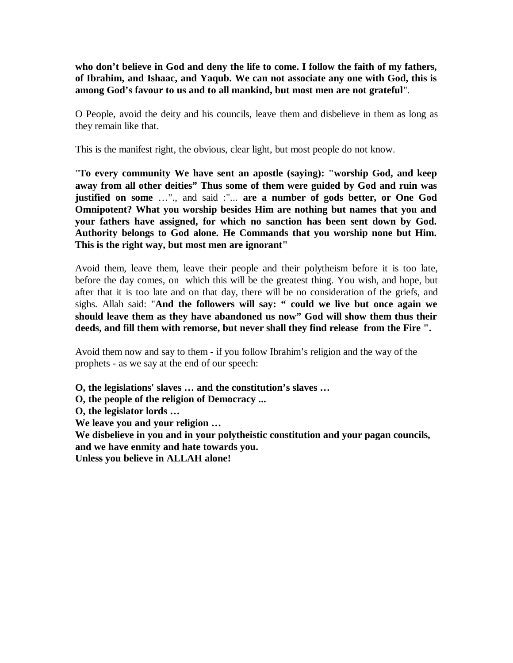**who don't believe in God and deny the life to come. I follow the faith of my fathers, of Ibrahim, and Ishaac, and Yaqub. We can not associate any one with God, this is among God's favour to us and to all mankind, but most men are not grateful**".

O People, avoid the deity and his councils, leave them and disbelieve in them as long as they remain like that.

This is the manifest right, the obvious, clear light, but most people do not know.

"**To every community We have sent an apostle (saying): "worship God, and keep away from all other deities" Thus some of them were guided by God and ruin was justified on some** …"., and said :"... **are a number of gods better, or One God Omnipotent? What you worship besides Him are nothing but names that you and your fathers have assigned, for which no sanction has been sent down by God. Authority belongs to God alone. He Commands that you worship none but Him. This is the right way, but most men are ignorant"**

Avoid them, leave them, leave their people and their polytheism before it is too late, before the day comes, on which this will be the greatest thing. You wish, and hope, but after that it is too late and on that day, there will be no consideration of the griefs, and sighs. Allah said: "**And the followers will say: " could we live but once again we should leave them as they have abandoned us now" God will show them thus their deeds, and fill them with remorse, but never shall they find release from the Fire ".**

Avoid them now and say to them - if you follow Ibrahim's religion and the way of the prophets - as we say at the end of our speech:

**O, the legislations' slaves … and the constitution's slaves …** 

**O, the people of the religion of Democracy ...** 

**O, the legislator lords …** 

**We leave you and your religion …** 

**We disbelieve in you and in your polytheistic constitution and your pagan councils, and we have enmity and hate towards you.** 

**Unless you believe in ALLAH alone!**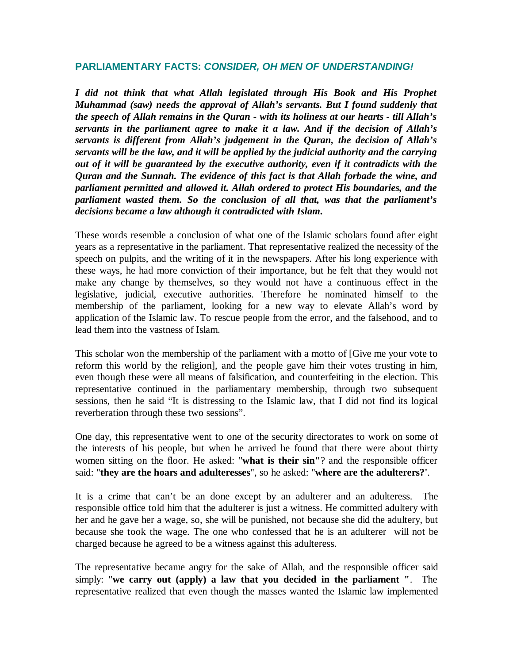#### **PARLIAMENTARY FACTS:** *CONSIDER, OH MEN OF UNDERSTANDING!*

*I did not think that what Allah legislated through His Book and His Prophet Muhammad (saw) needs the approval of Allah's servants. But I found suddenly that the speech of Allah remains in the Quran - with its holiness at our hearts - till Allah's servants in the parliament agree to make it a law. And if the decision of Allah's servants is different from Allah's judgement in the Quran, the decision of Allah's servants will be the law, and it will be applied by the judicial authority and the carrying out of it will be guaranteed by the executive authority, even if it contradicts with the Quran and the Sunnah. The evidence of this fact is that Allah forbade the wine, and parliament permitted and allowed it. Allah ordered to protect His boundaries, and the parliament wasted them. So the conclusion of all that, was that the parliament's decisions became a law although it contradicted with Islam.*

These words resemble a conclusion of what one of the Islamic scholars found after eight years as a representative in the parliament. That representative realized the necessity of the speech on pulpits, and the writing of it in the newspapers. After his long experience with these ways, he had more conviction of their importance, but he felt that they would not make any change by themselves, so they would not have a continuous effect in the legislative, judicial, executive authorities. Therefore he nominated himself to the membership of the parliament, looking for a new way to elevate Allah's word by application of the Islamic law. To rescue people from the error, and the falsehood, and to lead them into the vastness of Islam.

This scholar won the membership of the parliament with a motto of [Give me your vote to reform this world by the religion], and the people gave him their votes trusting in him, even though these were all means of falsification, and counterfeiting in the election. This representative continued in the parliamentary membership, through two subsequent sessions, then he said "It is distressing to the Islamic law, that I did not find its logical reverberation through these two sessions".

One day, this representative went to one of the security directorates to work on some of the interests of his people, but when he arrived he found that there were about thirty women sitting on the floor. He asked: "**what is their sin"**? and the responsible officer said: "**they are the hoars and adulteresses**", so he asked: "**where are the adulterers?'**.

It is a crime that can't be an done except by an adulterer and an adulteress. The responsible office told him that the adulterer is just a witness. He committed adultery with her and he gave her a wage, so, she will be punished, not because she did the adultery, but because she took the wage. The one who confessed that he is an adulterer will not be charged because he agreed to be a witness against this adulteress.

The representative became angry for the sake of Allah, and the responsible officer said simply: "**we carry out (apply) a law that you decided in the parliament "**. The representative realized that even though the masses wanted the Islamic law implemented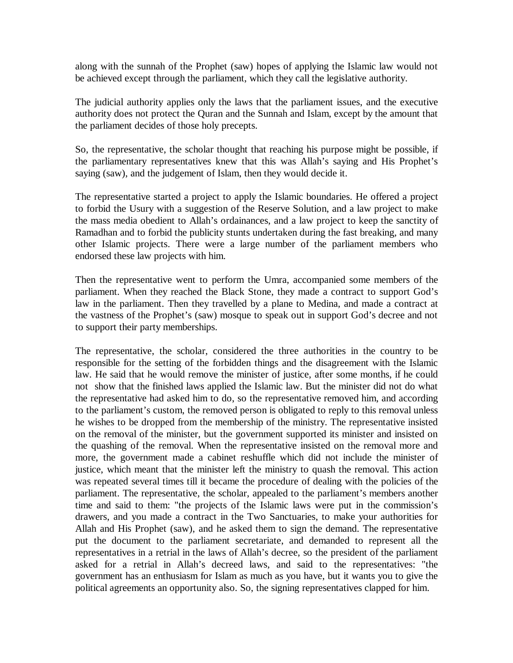along with the sunnah of the Prophet (saw) hopes of applying the Islamic law would not be achieved except through the parliament, which they call the legislative authority.

The judicial authority applies only the laws that the parliament issues, and the executive authority does not protect the Quran and the Sunnah and Islam, except by the amount that the parliament decides of those holy precepts.

So, the representative, the scholar thought that reaching his purpose might be possible, if the parliamentary representatives knew that this was Allah's saying and His Prophet's saying (saw), and the judgement of Islam, then they would decide it.

The representative started a project to apply the Islamic boundaries. He offered a project to forbid the Usury with a suggestion of the Reserve Solution, and a law project to make the mass media obedient to Allah's ordainances, and a law project to keep the sanctity of Ramadhan and to forbid the publicity stunts undertaken during the fast breaking, and many other Islamic projects. There were a large number of the parliament members who endorsed these law projects with him.

Then the representative went to perform the Umra, accompanied some members of the parliament. When they reached the Black Stone, they made a contract to support God's law in the parliament. Then they travelled by a plane to Medina, and made a contract at the vastness of the Prophet's (saw) mosque to speak out in support God's decree and not to support their party memberships.

The representative, the scholar, considered the three authorities in the country to be responsible for the setting of the forbidden things and the disagreement with the Islamic law. He said that he would remove the minister of justice, after some months, if he could not show that the finished laws applied the Islamic law. But the minister did not do what the representative had asked him to do, so the representative removed him, and according to the parliament's custom, the removed person is obligated to reply to this removal unless he wishes to be dropped from the membership of the ministry. The representative insisted on the removal of the minister, but the government supported its minister and insisted on the quashing of the removal. When the representative insisted on the removal more and more, the government made a cabinet reshuffle which did not include the minister of justice, which meant that the minister left the ministry to quash the removal. This action was repeated several times till it became the procedure of dealing with the policies of the parliament. The representative, the scholar, appealed to the parliament's members another time and said to them: "the projects of the Islamic laws were put in the commission's drawers, and you made a contract in the Two Sanctuaries, to make your authorities for Allah and His Prophet (saw), and he asked them to sign the demand. The representative put the document to the parliament secretariate, and demanded to represent all the representatives in a retrial in the laws of Allah's decree, so the president of the parliament asked for a retrial in Allah's decreed laws, and said to the representatives: "the government has an enthusiasm for Islam as much as you have, but it wants you to give the political agreements an opportunity also. So, the signing representatives clapped for him.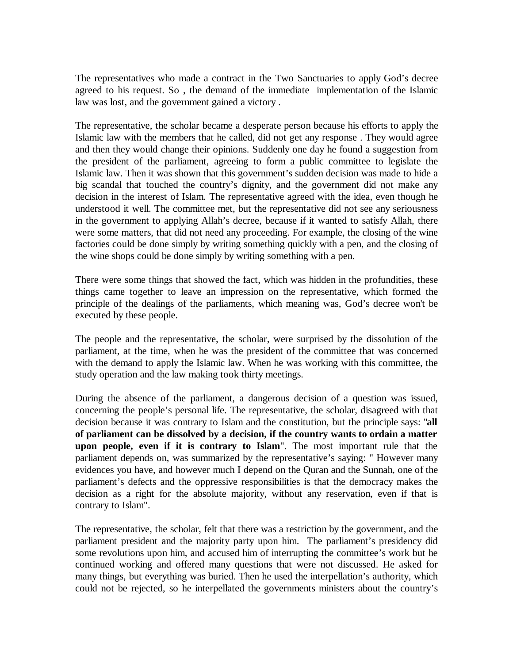The representatives who made a contract in the Two Sanctuaries to apply God's decree agreed to his request. So , the demand of the immediate implementation of the Islamic law was lost, and the government gained a victory .

The representative, the scholar became a desperate person because his efforts to apply the Islamic law with the members that he called, did not get any response . They would agree and then they would change their opinions. Suddenly one day he found a suggestion from the president of the parliament, agreeing to form a public committee to legislate the Islamic law. Then it was shown that this government's sudden decision was made to hide a big scandal that touched the country's dignity, and the government did not make any decision in the interest of Islam. The representative agreed with the idea, even though he understood it well. The committee met, but the representative did not see any seriousness in the government to applying Allah's decree, because if it wanted to satisfy Allah, there were some matters, that did not need any proceeding. For example, the closing of the wine factories could be done simply by writing something quickly with a pen, and the closing of the wine shops could be done simply by writing something with a pen.

There were some things that showed the fact, which was hidden in the profundities, these things came together to leave an impression on the representative, which formed the principle of the dealings of the parliaments, which meaning was, God's decree won't be executed by these people.

The people and the representative, the scholar, were surprised by the dissolution of the parliament, at the time, when he was the president of the committee that was concerned with the demand to apply the Islamic law. When he was working with this committee, the study operation and the law making took thirty meetings.

During the absence of the parliament, a dangerous decision of a question was issued, concerning the people's personal life. The representative, the scholar, disagreed with that decision because it was contrary to Islam and the constitution, but the principle says: "**all of parliament can be dissolved by a decision, if the country wants to ordain a matter upon people, even if it is contrary to Islam**". The most important rule that the parliament depends on, was summarized by the representative's saying: " However many evidences you have, and however much I depend on the Quran and the Sunnah, one of the parliament's defects and the oppressive responsibilities is that the democracy makes the decision as a right for the absolute majority, without any reservation, even if that is contrary to Islam".

The representative, the scholar, felt that there was a restriction by the government, and the parliament president and the majority party upon him. The parliament's presidency did some revolutions upon him, and accused him of interrupting the committee's work but he continued working and offered many questions that were not discussed. He asked for many things, but everything was buried. Then he used the interpellation's authority, which could not be rejected, so he interpellated the governments ministers about the country's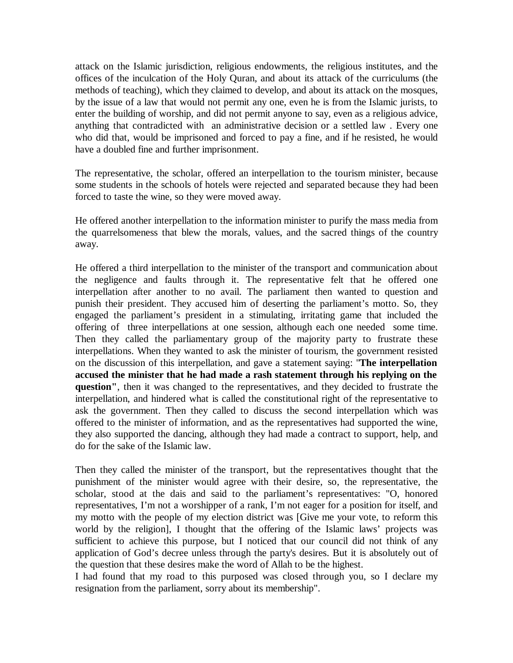attack on the Islamic jurisdiction, religious endowments, the religious institutes, and the offices of the inculcation of the Holy Quran, and about its attack of the curriculums (the methods of teaching), which they claimed to develop, and about its attack on the mosques, by the issue of a law that would not permit any one, even he is from the Islamic jurists, to enter the building of worship, and did not permit anyone to say, even as a religious advice, anything that contradicted with an administrative decision or a settled law . Every one who did that, would be imprisoned and forced to pay a fine, and if he resisted, he would have a doubled fine and further imprisonment.

The representative, the scholar, offered an interpellation to the tourism minister, because some students in the schools of hotels were rejected and separated because they had been forced to taste the wine, so they were moved away.

He offered another interpellation to the information minister to purify the mass media from the quarrelsomeness that blew the morals, values, and the sacred things of the country away.

He offered a third interpellation to the minister of the transport and communication about the negligence and faults through it. The representative felt that he offered one interpellation after another to no avail. The parliament then wanted to question and punish their president. They accused him of deserting the parliament's motto. So, they engaged the parliament's president in a stimulating, irritating game that included the offering of three interpellations at one session, although each one needed some time. Then they called the parliamentary group of the majority party to frustrate these interpellations. When they wanted to ask the minister of tourism, the government resisted on the discussion of this interpellation, and gave a statement saying: "**The interpellation accused the minister that he had made a rash statement through his replying on the question"**, then it was changed to the representatives, and they decided to frustrate the interpellation, and hindered what is called the constitutional right of the representative to ask the government. Then they called to discuss the second interpellation which was offered to the minister of information, and as the representatives had supported the wine, they also supported the dancing, although they had made a contract to support, help, and do for the sake of the Islamic law.

Then they called the minister of the transport, but the representatives thought that the punishment of the minister would agree with their desire, so, the representative, the scholar, stood at the dais and said to the parliament's representatives: "O, honored representatives, I'm not a worshipper of a rank, I'm not eager for a position for itself, and my motto with the people of my election district was [Give me your vote, to reform this world by the religion], I thought that the offering of the Islamic laws' projects was sufficient to achieve this purpose, but I noticed that our council did not think of any application of God's decree unless through the party's desires. But it is absolutely out of the question that these desires make the word of Allah to be the highest.

I had found that my road to this purposed was closed through you, so I declare my resignation from the parliament, sorry about its membership".